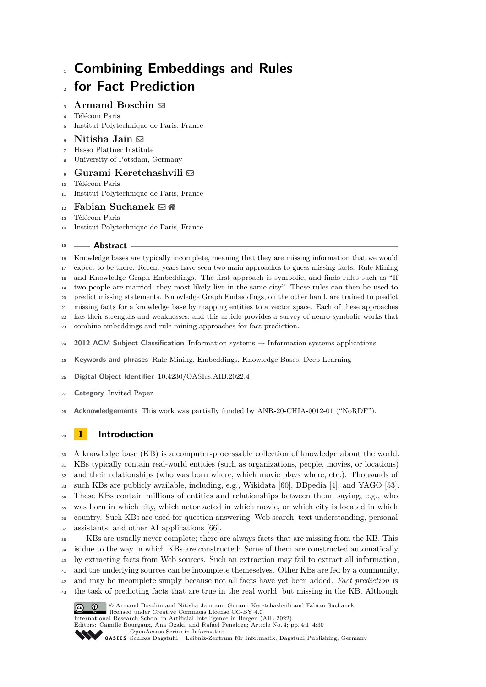# **Combining Embeddings and Rules for Fact Prediction**

# **Armand Boschin** [!](mailto:armand.boschin@telecom-paris.fr)

- Télécom Paris
- Institut Polytechnique de Paris, France
- **Nitisha Jain** [!](mailto:Nitisha.Jain@hpi.de)
- Hasso Plattner Institute
- University of Potsdam, Germany

# • Gurami Keretchashvili **⊠**

- Télécom Paris
- Institut Polytechnique de Paris, France

# $E<sub>12</sub>$  **Fabian Suchanek**  $\boxtimes$

- Télécom Paris
- Institut Polytechnique de Paris, France

### **Abstract**

 Knowledge bases are typically incomplete, meaning that they are missing information that we would expect to be there. Recent years have seen two main approaches to guess missing facts: Rule Mining and Knowledge Graph Embeddings. The first approach is symbolic, and finds rules such as "If two people are married, they most likely live in the same city". These rules can then be used to predict missing statements. Knowledge Graph Embeddings, on the other hand, are trained to predict missing facts for a knowledge base by mapping entities to a vector space. Each of these approaches has their strengths and weaknesses, and this article provides a survey of neuro-symbolic works that combine embeddings and rule mining approaches for fact prediction. **2012 ACM Subject Classification** Information systems → Information systems applications

- **Keywords and phrases** Rule Mining, Embeddings, Knowledge Bases, Deep Learning
- **Digital Object Identifier** [10.4230/OASIcs.AIB.2022.4](https://doi.org/10.4230/OASIcs.AIB.2022.4)
- **Category** Invited Paper
- **Acknowledgements** This work was partially funded by ANR-20-CHIA-0012-01 ("NoRDF").

# **1 Introduction**

 A knowledge base (KB) is a computer-processable collection of knowledge about the world. KBs typically contain real-world entities (such as organizations, people, movies, or locations) and their relationships (who was born where, which movie plays where, etc.). Thousands of such KBs are publicly available, including, e.g., Wikidata [\[60\]](#page-29-0), DBpedia [\[4\]](#page-26-0), and YAGO [\[53\]](#page-28-0). <sup>34</sup> These KBs contain millions of entities and relationships between them, saying, e.g., who was born in which city, which actor acted in which movie, or which city is located in which country. Such KBs are used for question answering, Web search, text understanding, personal assistants, and other AI applications [\[66\]](#page-29-1).

 KBs are usually never complete; there are always facts that are missing from the KB. This <sup>39</sup> is due to the way in which KBs are constructed: Some of them are constructed automatically by extracting facts from Web sources. Such an extraction may fail to extract all information, <sup>41</sup> and the underlying sources can be incomplete themeselves. Other KBs are fed by a community, and may be incomplete simply because not all facts have yet been added. *Fact prediction* is <sup>43</sup> the task of predicting facts that are true in the real world, but missing in the KB. Although © Armand Boschin and Nitisha Jain and Gurami Keretchashvili and Fabian Suchanek;



International Research School in Artificial Intelligence in Bergen (AIB 2022). Editors: Camille Bourgaux, Ana Ozaki, and Rafael Peñaloza; Article No. 4; pp. 4:1–4:30

[OpenAccess Series in Informatics](https://www.dagstuhl.de/oasics/)

licensed under Creative Commons License CC-BY 4.0

OASICS [Schloss Dagstuhl – Leibniz-Zentrum für Informatik, Dagstuhl Publishing, Germany](https://www.dagstuhl.de)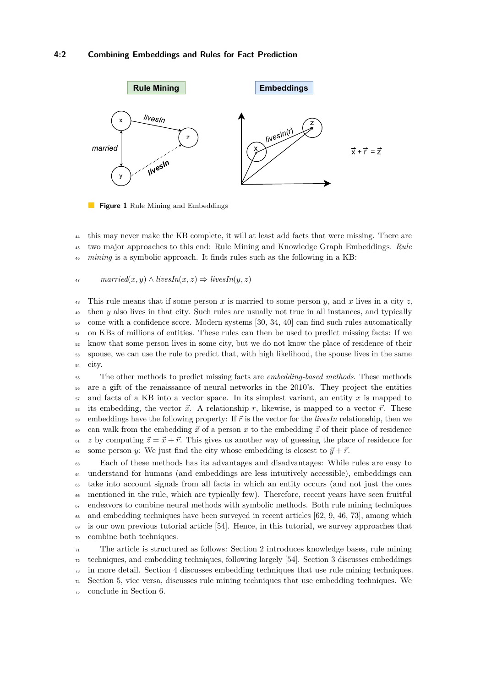### **4:2 Combining Embeddings and Rules for Fact Prediction**



**Figure 1** Rule Mining and Embeddings

<sup>44</sup> this may never make the KB complete, it will at least add facts that were missing. There are <sup>45</sup> two major approaches to this end: Rule Mining and Knowledge Graph Embeddings. *Rule* <sup>46</sup> *mining* is a symbolic approach. It finds rules such as the following in a KB:

$$
A7 \qquad married(x,y) \wedge livesIn(x,z) \Rightarrow livesIn(y,z)
$$

48 This rule means that if some person x is married to some person  $y$ , and x lives in a city  $z$ , <sup>49</sup> then *y* also lives in that city. Such rules are usually not true in all instances, and typically <sup>50</sup> come with a confidence score. Modern systems [\[30,](#page-27-0) [34,](#page-28-1) [40\]](#page-28-2) can find such rules automatically <sup>51</sup> on KBs of millions of entities. These rules can then be used to predict missing facts: If we <sup>52</sup> know that some person lives in some city, but we do not know the place of residence of their <sup>53</sup> spouse, we can use the rule to predict that, with high likelihood, the spouse lives in the same <sup>54</sup> city.

<sup>55</sup> The other methods to predict missing facts are *embedding-based methods*. These methods <sup>56</sup> are a gift of the renaissance of neural networks in the 2010's. They project the entities <sup>57</sup> and facts of a KB into a vector space. In its simplest variant, an entity *x* is mapped to  $\frac{1}{58}$  its embedding, the vector  $\vec{x}$ . A relationship r, likewise, is mapped to a vector  $\vec{r}$ . These <sup>59</sup> embeddings have the following property: If *~r* is the vector for the *livesIn* relationship, then we 60 can walk from the embedding  $\vec{x}$  of a person x to the embedding  $\vec{z}$  of their place of residence  $\epsilon_1$  *z* by computing  $\vec{z} = \vec{x} + \vec{r}$ . This gives us another way of guessing the place of residence for 62 some person *y*: We just find the city whose embedding is closest to  $\vec{y} + \vec{r}$ .

 Each of these methods has its advantages and disadvantages: While rules are easy to understand for humans (and embeddings are less intuitively accessible), embeddings can take into account signals from all facts in which an entity occurs (and not just the ones mentioned in the rule, which are typically few). Therefore, recent years have seen fruitful endeavors to combine neural methods with symbolic methods. Both rule mining techniques and embedding techniques have been surveyed in recent articles [\[62,](#page-29-2) [9,](#page-27-1) [46,](#page-28-3) [73\]](#page-29-3), among which is our own previous tutorial article [\[54\]](#page-28-4). Hence, in this tutorial, we survey approaches that combine both techniques.

 The article is structured as follows: Section [2](#page-2-0) introduces knowledge bases, rule mining techniques, and embedding techniques, following largely [\[54\]](#page-28-4). Section [3](#page-7-0) discusses embeddings in more detail. Section [4](#page-15-0) discusses embedding techniques that use rule mining techniques. Section [5,](#page-24-0) vice versa, discusses rule mining techniques that use embedding techniques. We conclude in Section [6.](#page-26-1)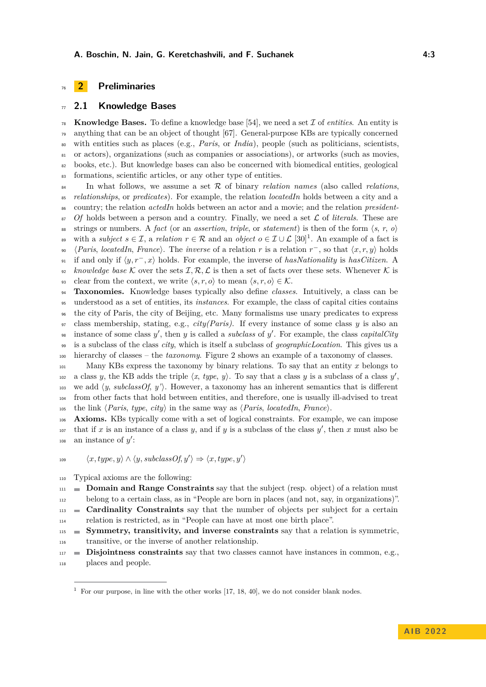# <span id="page-2-0"></span>**2 Preliminaries**

### <span id="page-2-2"></span>**2.1 Knowledge Bases**

**Knowledge Bases.** To define a knowledge base [\[54\]](#page-28-4), we need a set  $\mathcal I$  of *entities*. An entity is anything that can be an object of thought [\[67\]](#page-29-4). General-purpose KBs are typically concerned with entities such as places (e.g., *Paris*, or *India*), people (such as politicians, scientists, or actors), organizations (such as companies or associations), or artworks (such as movies, books, etc.). But knowledge bases can also be concerned with biomedical entities, geological formations, scientific articles, or any other type of entities.

 In what follows, we assume a set R of binary *relation names* (also called *relations*, *relationships*, or *predicates*). For example, the relation *locatedIn* holds between a city and a country; the relation *actedIn* holds between an actor and a movie; and the relation *president-* $\mathcal{S}7$  *Of* holds between a person and a country. Finally, we need a set  $\mathcal{L}$  of *literals*. These are 88 strings or numbers. A *fact* (or an *assertion, triple, or statement*) is then of the form  $\langle s, r, \, o \rangle$ with a *subject*  $s \in \mathcal{I}$ , a *relation*  $r \in \mathcal{R}$  and an *object*  $o \in \mathcal{I} \cup \mathcal{L}$  [\[30\]](#page-27-0)<sup>[1](#page-2-1)</sup>. An example of a fact is  $\langle Paris, locatedIn, France \rangle$ . The *inverse* of a relation *r* is a relation  $r^-$ , so that  $\langle x, r, y \rangle$  holds if and only if h*y, r*<sup>−</sup> *, x*i holds. For example, the inverse of *hasNationality* is *hasCitizen*. A  $\mathcal{L}_{92}$  *knowledge base* K over the sets  $\mathcal{I}, \mathcal{R}, \mathcal{L}$  is then a set of facts over these sets. Whenever K is 93 clear from the context, we write  $\langle s, r, o \rangle$  to mean  $\langle s, r, o \rangle \in \mathcal{K}$ . **Taxonomies.** Knowledge bases typically also define *classes*. Intuitively, a class can be understood as a set of entities, its *instances*. For example, the class of capital cities contains the city of Paris, the city of Beijing, etc. Many formalisms use unary predicates to express

 class membership, stating, e.g., *city(Paris)*. If every instance of some class *y* is also an  $\mathcal{L}_{98}$  instance of some class  $y'$ , then  $y$  is called a *subclass* of  $y'$ . For example, the class *capitalCity* 

is a subclass of the class *city*, which is itself a subclass of *geographicLocation*. This gives us a

hierarchy of classes – the *taxonomy*. Figure [2](#page-3-0) shows an example of a taxonomy of classes.

 Many KBs express the taxonomy by binary relations. To say that an entity *x* belongs to a class *y*, the KB adds the triple  $\langle x, type, y \rangle$ . To say that a class *y* is a subclass of a class *y'*, 103 we add  $\langle y, \text{subclassOf}, y' \rangle$ . However, a taxonomy has an inherent semantics that is different from other facts that hold between entities, and therefore, one is usually ill-advised to treat 105 the link  $\langle Paris, type, city \rangle$  in the same way as  $\langle Paris, locatedIn, France \rangle$ .

**Axioms.** KBs typically come with a set of logical constraints. For example, we can impose that if  $x$  is an instance of a class  $y$ , and if  $y$  is a subclass of the class  $y'$ , then  $x$  must also be  $\sum_{108}$  an instance of y':

$$
\langle x, type, y \rangle \land \langle y, subclassOf, y' \rangle \Rightarrow \langle x, type, y' \rangle
$$

Typical axioms are the following:

**Domain and Range Constraints** say that the subject (resp. object) of a relation must

belong to a certain class, as in "People are born in places (and not, say, in organizations)".

**Cardinality Constraints** say that the number of objects per subject for a certain

relation is restricted, as in "People can have at most one birth place".

 **Symmetry, transitivity, and inverse constraints** say that a relation is symmetric, transitive, or the inverse of another relationship.

 **Disjointness constraints** say that two classes cannot have instances in common, e.g., places and people.

<span id="page-2-1"></span>For our purpose, in line with the other works [\[17,](#page-27-2) [18,](#page-27-3) [40\]](#page-28-2), we do not consider blank nodes.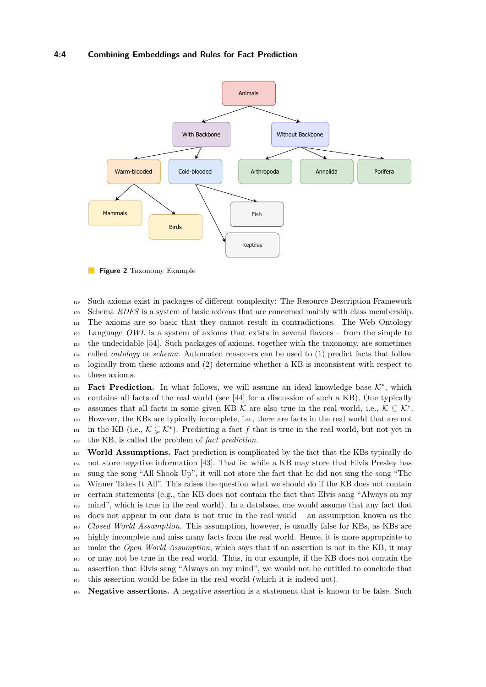### **4:4 Combining Embeddings and Rules for Fact Prediction**

<span id="page-3-0"></span>

**Figure 2** Taxonomy Example

 Such axioms exist in packages of different complexity: The Resource Description Framework Schema *RDFS* is a system of basic axioms that are concerned mainly with class membership. The axioms are so basic that they cannot result in contradictions. The Web Ontology Language *OWL* is a system of axioms that exists in several flavors – from the simple to the undecidable [\[54\]](#page-28-4). Such packages of axioms, together with the taxonomy, are sometimes called *ontology* or *schema*. Automated reasoners can be used to (1) predict facts that follow logically from these axioms and (2) determine whether a KB is inconsistent with respect to these axioms.

**Fact Prediction.** In what follows, we will assume an ideal knowledge base  $K^*$ , which contains all facts of the real world (see [\[44\]](#page-28-5) for a discussion of such a KB). One typically assumes that all facts in some given KB K are also true in the real world, i.e.,  $K \subseteq \mathcal{K}^*$ . However, the KBs are typically incomplete, i.e., there are facts in the real world that are not 131 in the KB (i.e.,  $\mathcal{K} \subsetneq \mathcal{K}^*$ ). Predicting a fact f that is true in the real world, but not yet in the KB, is called the problem of *fact prediction*.

 **World Assumptions.** Fact prediction is complicated by the fact that the KBs typically do not store negative information [\[43\]](#page-28-6). That is: while a KB may store that Elvis Presley has sung the song "All Shook Up", it will not store the fact that he did not sing the song "The Winner Takes It All". This raises the question what we should do if the KB does not contain certain statements (e.g., the KB does not contain the fact that Elvis sang "Always on my mind", which is true in the real world). In a database, one would assume that any fact that does not appear in our data is not true in the real world – an assumption known as the *Closed World Assumption*. This assumption, however, is usually false for KBs, as KBs are highly incomplete and miss many facts from the real world. Hence, it is more appropriate to make the *Open World Assumption*, which says that if an assertion is not in the KB, it may or may not be true in the real world. Thus, in our example, if the KB does not contain the assertion that Elvis sang "Always on my mind", we would not be entitled to conclude that this assertion would be false in the real world (which it is indeed not).

**Negative assertions.** A negative assertion is a statement that is known to be false. Such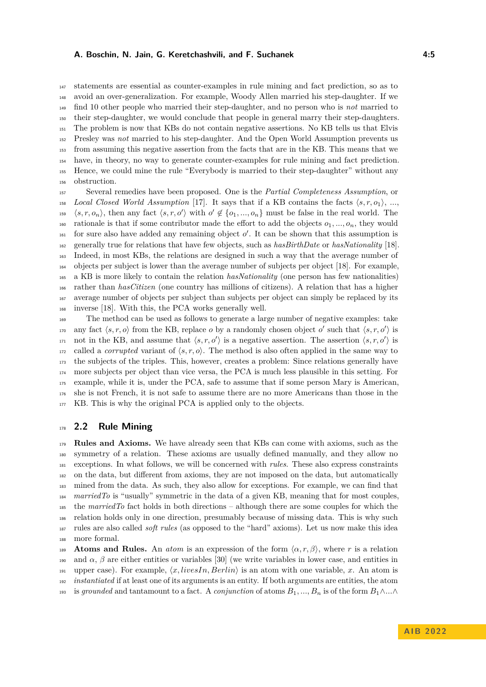statements are essential as counter-examples in rule mining and fact prediction, so as to avoid an over-generalization. For example, Woody Allen married his step-daughter. If we find 10 other people who married their step-daughter, and no person who is *not* married to their step-daughter, we would conclude that people in general marry their step-daughters. The problem is now that KBs do not contain negative assertions. No KB tells us that Elvis Presley was *not* married to his step-daughter. And the Open World Assumption prevents us from assuming this negative assertion from the facts that are in the KB. This means that we have, in theory, no way to generate counter-examples for rule mining and fact prediction. Hence, we could mine the rule "Everybody is married to their step-daughter" without any obstruction.

 Several remedies have been proposed. One is the *Partial Completeness Assumption*, or <sup>158</sup> *Local Closed World Assumption* [\[17\]](#page-27-2). It says that if a KB contains the facts  $\langle s, r, o_1 \rangle$ , ...,  $\langle s, r, o_n \rangle$ , then any fact  $\langle s, r, o' \rangle$  with  $o' \notin \{o_1, ..., o_n\}$  must be false in the real world. The 160 rationale is that if some contributor made the effort to add the objects  $o_1, ..., o_n$ , they would  $_{161}$  for sure also have added any remaining object  $o'$ . It can be shown that this assumption is generally true for relations that have few objects, such as *hasBirthDate* or *hasNationality* [\[18\]](#page-27-3). Indeed, in most KBs, the relations are designed in such a way that the average number of objects per subject is lower than the average number of subjects per object [\[18\]](#page-27-3). For example, a KB is more likely to contain the relation *hasNationality* (one person has few nationalities) rather than *hasCitizen* (one country has millions of citizens). A relation that has a higher average number of objects per subject than subjects per object can simply be replaced by its inverse [\[18\]](#page-27-3). With this, the PCA works generally well.

 The method can be used as follows to generate a large number of negative examples: take any fact  $\langle s, r, o \rangle$  from the KB, replace *o* by a randomly chosen object *o'* such that  $\langle s, r, o' \rangle$  is <sup>171</sup> not in the KB, and assume that  $\langle s, r, o' \rangle$  is a negative assertion. The assertion  $\langle s, r, o' \rangle$  is called a *corrupted* variant of  $\langle s, r, \rho \rangle$ . The method is also often applied in the same way to the subjects of the triples. This, however, creates a problem: Since relations generally have more subjects per object than vice versa, the PCA is much less plausible in this setting. For example, while it is, under the PCA, safe to assume that if some person Mary is American, she is not French, it is not safe to assume there are no more Americans than those in the 177 KB. This is why the original PCA is applied only to the objects.

### **2.2 Rule Mining**

 **Rules and Axioms.** We have already seen that KBs can come with axioms, such as the symmetry of a relation. These axioms are usually defined manually, and they allow no exceptions. In what follows, we will be concerned with *rules*. These also express constraints on the data, but different from axioms, they are not imposed on the data, but automatically mined from the data. As such, they also allow for exceptions. For example, we can find that *marriedTo* is "usually" symmetric in the data of a given KB, meaning that for most couples, the *marriedTo* fact holds in both directions – although there are some couples for which the relation holds only in one direction, presumably because of missing data. This is why such rules are also called *soft rules* (as opposed to the "hard" axioms). Let us now make this idea more formal.

**Atoms and Rules.** An *atom* is an expression of the form  $\langle \alpha, r, \beta \rangle$ , where *r* is a relation <sup>190</sup> and *α*, *β* are either entities or variables [\[30\]](#page-27-0) (we write variables in lower case, and entities in 191 upper case). For example,  $\langle x, livesIn, Berlin \rangle$  is an atom with one variable, *x*. An atom is *instantiated* if at least one of its arguments is an entity. If both arguments are entities, the atom 193 is *grounded* and tantamount to a fact. A *conjunction* of atoms  $B_1, ..., B_n$  is of the form  $B_1 \wedge ... \wedge$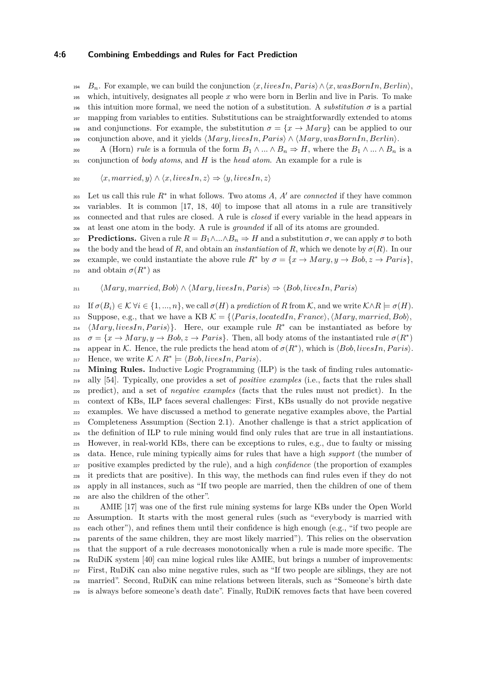### **4:6 Combining Embeddings and Rules for Fact Prediction**

*B*<sub>n</sub>. For example, we can build the conjunction  $\langle x, livesIn, Paris \rangle \wedge \langle x, wasBornIn, Berlin \rangle$ , which, intuitively, designates all people *x* who were born in Berlin and live in Paris. To make this intuition more formal, we need the notion of a substitution. A *substitution*  $\sigma$  is a partial mapping from variables to entities. Substitutions can be straightforwardly extended to atoms <sup>198</sup> and conjunctions. For example, the substitution  $\sigma = \{x \rightarrow Mary\}$  can be applied to our conjunction above, and it yields h*M ary, livesIn, P aris*i ∧ h*M ary, wasBornIn, Berlin*i.

200 A (Horn) *rule* is a formula of the form  $B_1 \wedge ... \wedge B_n \Rightarrow H$ , where the  $B_1 \wedge ... \wedge B_n$  is a conjunction of *body atoms*, and *H* is the *head atom*. An example for a rule is

$$
\langle x, married, y \rangle \land \langle x, livesIn, z \rangle \Rightarrow \langle y, livesIn, z \rangle
$$

Let us call this rule  $R^*$  in what follows. Two atoms  $A$ ,  $A'$  are *connected* if they have common variables. It is common [\[17,](#page-27-2) [18,](#page-27-3) [40\]](#page-28-2) to impose that all atoms in a rule are transitively connected and that rules are closed. A rule is *closed* if every variable in the head appears in at least one atom in the body. A rule is *grounded* if all of its atoms are grounded.

 **Predictions.** Given a rule *R* = *B*1∧*...*∧*B<sup>n</sup>* ⇒ *H* and a substitution *σ*, we can apply *σ* to both 208 the body and the head of *R*, and obtain an *instantiation* of *R*, which we denote by  $\sigma(R)$ . In our example, we could instantiate the above rule  $R^*$  by  $\sigma = \{x \to Mary, y \to Bob, z \to Paris\},\$ <sup>210</sup> and obtain  $\sigma(R^*)$  as

### 211  $\langle Mary, married, Bob \rangle \land \langle Mary, livesIn, Paris \rangle \Rightarrow \langle Bob, livesIn, Paris \rangle$

212 If  $\sigma(B_i) \in \mathcal{K} \forall i \in \{1, ..., n\}$ , we call  $\sigma(H)$  a *prediction* of *R* from  $\mathcal{K}$ , and we write  $\mathcal{K} \wedge R \models \sigma(H)$ . 213 Suppose, e.g., that we have a KB  $K = \{$ *Paris, locatedIn, France* $\rangle$ ,  $\langle Mary, married, Bob\rangle$ ,  $\{Mary, livesIn, Paris\}$ . Here, our example rule  $R^*$  can be instantiated as before by  $\sigma = \{x \to Mary, y \to Bob, z \to Paris\}$ . Then, all body atoms of the instantiated rule  $\sigma(R^*)$  $a<sub>16</sub>$  appear in K. Hence, the rule predicts the head atom of  $\sigma(R^*)$ , which is  $\langle Bob, livesIn, Paris \rangle$ .  $Hence, we write \mathcal{K} \wedge R^* \models \langle Bob, livesIn, Paris \rangle.$ 

 **Mining Rules.** Inductive Logic Programming (ILP) is the task of finding rules automatic- ally [\[54\]](#page-28-4). Typically, one provides a set of *positive examples* (i.e., facts that the rules shall predict), and a set of *negative examples* (facts that the rules must not predict). In the context of KBs, ILP faces several challenges: First, KBs usually do not provide negative examples. We have discussed a method to generate negative examples above, the Partial Completeness Assumption (Section [2.1\)](#page-2-2). Another challenge is that a strict application of the definition of ILP to rule mining would find only rules that are true in all instantiations. However, in real-world KBs, there can be exceptions to rules, e.g., due to faulty or missing data. Hence, rule mining typically aims for rules that have a high *support* (the number of positive examples predicted by the rule), and a high *confidence* (the proportion of examples it predicts that are positive). In this way, the methods can find rules even if they do not apply in all instances, such as "If two people are married, then the children of one of them are also the children of the other".

 AMIE [\[17\]](#page-27-2) was one of the first rule mining systems for large KBs under the Open World Assumption. It starts with the most general rules (such as "everybody is married with each other"), and refines them until their confidence is high enough (e.g., "if two people are parents of the same children, they are most likely married"). This relies on the observation that the support of a rule decreases monotonically when a rule is made more specific. The RuDiK system [\[40\]](#page-28-2) can mine logical rules like AMIE, but brings a number of improvements: First, RuDiK can also mine negative rules, such as "If two people are siblings, they are not married". Second, RuDiK can mine relations between literals, such as "Someone's birth date is always before someone's death date". Finally, RuDiK removes facts that have been covered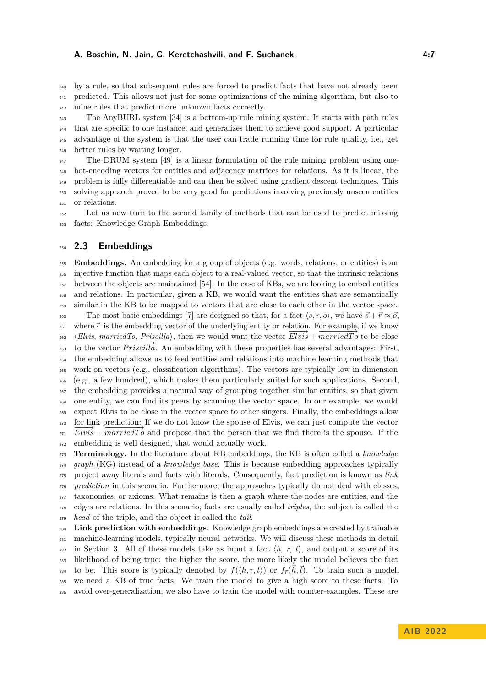by a rule, so that subsequent rules are forced to predict facts that have not already been predicted. This allows not just for some optimizations of the mining algorithm, but also to mine rules that predict more unknown facts correctly.

 The AnyBURL system [\[34\]](#page-28-1) is a bottom-up rule mining system: It starts with path rules that are specific to one instance, and generalizes them to achieve good support. A particular advantage of the system is that the user can trade running time for rule quality, i.e., get better rules by waiting longer.

 $_{247}$  The DRUM system [\[49\]](#page-28-7) is a linear formulation of the rule mining problem using one- hot-encoding vectors for entities and adjacency matrices for relations. As it is linear, the problem is fully differentiable and can then be solved using gradient descent techniques. This solving appraoch proved to be very good for predictions involving previously unseen entities or relations.

 Let us now turn to the second family of methods that can be used to predict missing facts: Knowledge Graph Embeddings.

### **2.3 Embeddings**

 **Embeddings.** An embedding for a group of objects (e.g. words, relations, or entities) is an injective function that maps each object to a real-valued vector, so that the intrinsic relations between the objects are maintained [\[54\]](#page-28-4). In the case of KBs, we are looking to embed entities and relations. In particular, given a KB, we would want the entities that are semantically similar in the KB to be mapped to vectors that are close to each other in the vector space. 260 The most basic embeddings [\[7\]](#page-26-2) are designed so that, for a fact  $\langle s, r, o \rangle$ , we have  $\vec{s} + \vec{r} \approx \vec{o}$ , <sup>261</sup> where  $\vec{\cdot}$  is the embedding vector of the underlying entity or relation. For example, if we know  $h_{\text{262}}$   $\langle Elvis, marriedTo, Priscilla\rangle$ , then we would want the vector  $Elvis + marriedTo$  to be close to the vector *Priscilla*. An embedding with these properties has several advantages: First, the embedding allows us to feed entities and relations into machine learning methods that work on vectors (e.g., classification algorithms). The vectors are typically low in dimension (e.g., a few hundred), which makes them particularly suited for such applications. Second, the embedding provides a natural way of grouping together similar entities, so that given one entity, we can find its peers by scanning the vector space. In our example, we would expect Elvis to be close in the vector space to other singers. Finally, the embeddings allow  $\frac{270}{\text{F}-\frac{1}{2}}$  for link prediction: If we do not know the spouse of Elvis, we can just compute the vector  $\frac{1}{271}$  **Elvis** +  $\frac{1}{271}$  and propose that the person that we find there is the spouse. If the embedding is well designed, that would actually work.

 **Terminology.** In the literature about KB embeddings, the KB is often called a *knowledge graph* (KG) instead of a *knowledge base*. This is because embedding approaches typically project away literals and facts with literals. Consequently, fact prediction is known as *link prediction* in this scenario. Furthermore, the approaches typically do not deal with classes, taxonomies, or axioms. What remains is then a graph where the nodes are entities, and the edges are relations. In this scenario, facts are usually called *triples*, the subject is called the *head* of the triple, and the object is called the *tail*.

 **Link prediction with embeddings.** Knowledge graph embeddings are created by trainable machine-learning models, typically neural networks. We will discuss these methods in detail <sup>282</sup> in Section [3.](#page-7-0) All of these models take as input a fact  $\langle h, r, t \rangle$ , and output a score of its likelihood of being true: the higher the score, the more likely the model believes the fact to be. This score is typically denoted by  $f(\langle h, r, t \rangle)$  or  $f_{\vec{r}}(\vec{h}, \vec{t})$ . To train such a model, we need a KB of true facts. We train the model to give a high score to these facts. To avoid over-generalization, we also have to train the model with counter-examples. These are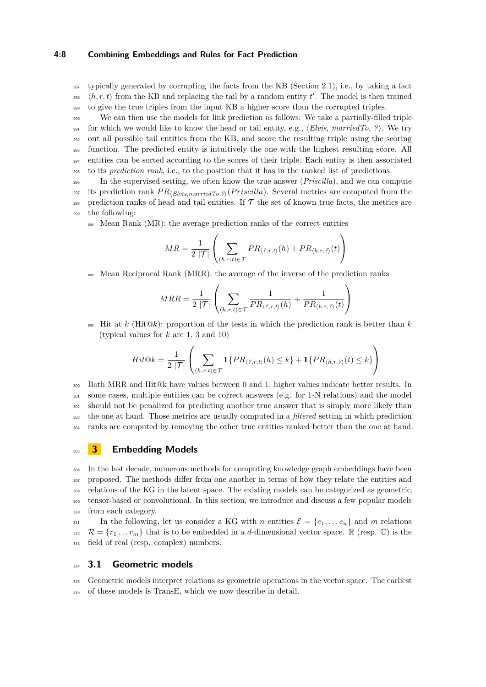#### **4:8 Combining Embeddings and Rules for Fact Prediction**

 $_{287}$  typically generated by corrupting the facts from the KB (Section [2.1\)](#page-2-2), i.e., by taking a fact  $\langle h, r, t \rangle$  from the KB and replacing the tail by a random entity *t'*. The model is then trained <sup>289</sup> to give the true triples from the input KB a higher score than the corrupted triples.

 We can then use the models for link prediction as follows: We take a partially-filled triple 291 for which we would like to know the head or tail entity, e.g.,  $\langle Elvis, marriedTo, ?\rangle$ . We try out all possible tail entities from the KB, and score the resulting triple using the scoring function. The predicted entity is intuitively the one with the highest resulting score. All entities can be sorted according to the scores of their triple. Each entity is then associated to its *prediction rank*, i.e., to the position that it has in the ranked list of predictions.

<sup>296</sup> In the supervised setting, we often know the true answer (*Priscilla*), and we can compute <sup>297</sup> its prediction rank  $PR_{\langle Elvis, marriedTo, ?\rangle}(Priscilla)$ . Several metrics are computed from the 298 prediction ranks of head and tail entities. If  $\mathcal T$  the set of known true facts, the metrics are <sup>299</sup> the following:

Mean Rank (MR): the average prediction ranks of the correct entities m.

$$
MR = \frac{1}{2|\mathcal{T}|} \left( \sum_{(h,r,t) \in \mathcal{T}} PR_{\langle \mathcal{P}, r, t \rangle}(h) + PR_{\langle h, r, \mathcal{P} \rangle}(t) \right)
$$

Mean Reciprocal Rank (MRR): the average of the inverse of the prediction ranks

$$
MRR = \frac{1}{2|\mathcal{T}|} \left( \sum_{(h,r,t) \in \mathcal{T}} \frac{1}{PR_{\langle \hat{z}, r, t \rangle}(h)} + \frac{1}{PR_{\langle h, r, \hat{z} \rangle}(t)} \right)
$$

 $\blacksquare$  Hit at *k* (Hit $@k$ ): proportion of the tests in which the prediction rank is better than *k* (typical values for *k* are 1, 3 and 10)

$$
Hit@k = \frac{1}{2\left|\mathcal{T}\right|}\left(\sum_{(h,r,t)\in\mathcal{T}}\mathbbm{1}\{PR_{\left\langle \text{ }2,r,t\right\rangle }(h)\leq k\}+\mathbbm{1}\{PR_{\left\langle h,r,\text{ }2\right\rangle }(t)\leq k\}\right)
$$

 Both MRR and Hit@k have values between 0 and 1, higher values indicate better results. In some cases, multiple entities can be correct answers (e.g. for 1-N relations) and the model <sup>302</sup> should not be penalized for predicting another true answer that is simply more likely than the one at hand. Those metrics are usually computed in a *filtered* setting in which prediction ranks are computed by removing the other true entities ranked better than the one at hand.

### <span id="page-7-0"></span><sup>305</sup> **3 Embedding Models**

 In the last decade, numerous methods for computing knowledge graph embeddings have been 307 proposed. The methods differ from one another in terms of how they relate the entities and relations of the KG in the latent space. The existing models can be categorized as geometric, tensor-based or convolutional. In this section, we introduce and discuss a few popular models from each category.

311 In the following, let us consider a KG with *n* entities  $\mathcal{E} = \{e_1, \ldots e_n\}$  and *m* relations  $312 \mathcal{R} = \{r_1 \dots r_m\}$  that is to be embedded in a *d*-dimensional vector space. R (resp. C) is the <sup>313</sup> field of real (resp. complex) numbers.

### <sup>314</sup> **3.1 Geometric models**

<sup>315</sup> Geometric models interpret relations as geometric operations in the vector space. The earliest <sup>316</sup> of these models is TransE, which we now describe in detail.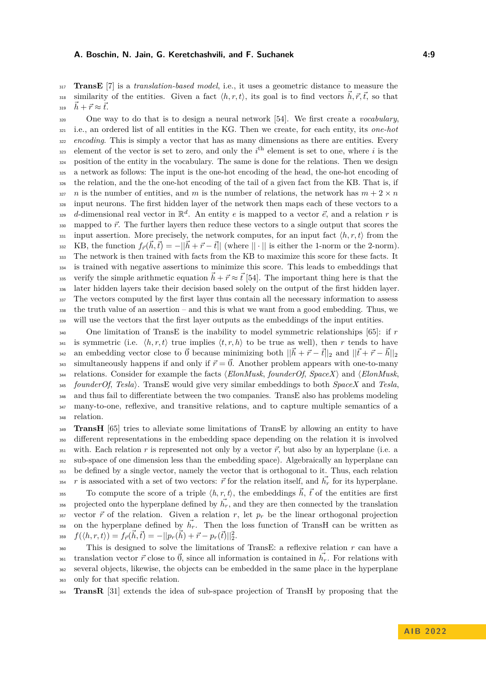<sup>317</sup> **TransE** [\[7\]](#page-26-2) is a *translation-based model*, i.e., it uses a geometric distance to measure the similarity of the entities. Given a fact  $\langle h, r, t \rangle$ , its goal is to find vectors  $\vec{h}, \vec{r}, \vec{t}$ , so that 319  $\vec{h} + \vec{r} \approx \vec{t}$ .

 One way to do that is to design a neural network [\[54\]](#page-28-4). We first create a *vocabulary*, i.e., an ordered list of all entities in the KG. Then we create, for each entity, its *one-hot encoding*. This is simply a vector that has as many dimensions as there are entities. Every <sup>323</sup> element of the vector is set to zero, and only the  $i<sup>th</sup>$  element is set to one, where *i* is the position of the entity in the vocabulary. The same is done for the relations. Then we design a network as follows: The input is the one-hot encoding of the head, the one-hot encoding of the relation, and the the one-hot encoding of the tail of a given fact from the KB. That is, if *n* is the number of entities, and *m* is the number of relations, the network has  $m + 2 \times n$  input neurons. The first hidden layer of the network then maps each of these vectors to a  $d$ -dimensional real vector in  $\mathbb{R}^d$ . An entity *e* is mapped to a vector  $\vec{e}$ , and a relation *r* is 330 mapped to  $\vec{r}$ . The further layers then reduce these vectors to a single output that scores the  $\frac{331}{331}$  input assertion. More precisely, the network computes, for an input fact  $\langle h, r, t \rangle$  from the  $K_{332}$   $\phantom{K}$  KB, the function  $f_{\vec{r}}(\vec{h}, \vec{t}) = -||\vec{h} + \vec{r} - \vec{t}||$  (where  $|| \cdot ||$  is either the 1-norm or the 2-norm). The network is then trained with facts from the KB to maximize this score for these facts. It is trained with negative assertions to minimize this score. This leads to embeddings that 335 verify the simple arithmetic equation  $\vec{h} + \vec{r} \approx \vec{t}$  [\[54\]](#page-28-4). The important thing here is that the later hidden layers take their decision based solely on the output of the first hidden layer. <sup>337</sup> The vectors computed by the first layer thus contain all the necessary information to assess the truth value of an assertion – and this is what we want from a good embedding. Thus, we will use the vectors that the first layer outputs as the embeddings of the input entities.

 One limitation of TransE is the inability to model symmetric relationships [\[65\]](#page-29-5): if *r* <sup>341</sup> is symmetric (i.e.  $\langle h, r, t \rangle$  true implies  $\langle t, r, h \rangle$  to be true as well), then r tends to have an embedding vector close to  $\vec{0}$  because minimizing both  $||\vec{h} + \vec{r} - \vec{t}||_2$  and  $||\vec{t} + \vec{r} - \vec{h}||_2$  $_{343}$  simultaneously happens if and only if  $\vec{r} = \vec{0}$ . Another problem appears with one-to-many relations. Consider for example the facts *(ElonMusk, founderOf, SpaceX)* and *(ElonMusk, founderOf*, *Tesla*i. TransE would give very similar embeddings to both *SpaceX* and *Tesla*, and thus fail to differentiate between the two companies. TransE also has problems modeling many-to-one, reflexive, and transitive relations, and to capture multiple semantics of a relation.

**TransH** [\[65\]](#page-29-5) tries to alleviate some limitations of TransE by allowing an entity to have different representations in the embedding space depending on the relation it is involved with. Each relation *r* is represented not only by a vector  $\vec{r}$ , but also by an hyperplane (i.e. a sub-space of one dimension less than the embedding space). Algebraically an hyperplane can be defined by a single vector, namely the vector that is orthogonal to it. Thus, each relation <sup>354</sup> *r* is associated with a set of two vectors:  $\vec{r}$  for the relation itself, and  $\vec{h_r}$  for its hyperplane.

To compute the score of a triple  $\langle h, r, t \rangle$ , the embeddings  $\vec{h}$ ,  $\vec{t}$  of the entities are first projected onto the hyperplane defined by  $\vec{h_r}$ , and they are then connected by the translation 357 vector  $\vec{r}$  of the relation. Given a relation  $r$ , let  $p_r$  be the linear orthogonal projection <sup>358</sup> on the hyperplane defined by  $h_r$ . Then the loss function of TransH can be written as  $f(\langle h, r, t \rangle) = f_{\vec{r}}(\vec{h}, \vec{t}) = -||p_r(\vec{h}) + \vec{r} - p_r(\vec{t})||_2^2.$ 

 This is designed to solve the limitations of TransE: a reflexive relation *r* can have a translation vector  $\vec{r}$  close to  $\vec{0}$ , since all information is contained in  $\vec{h_r}$ . For relations with several objects, likewise, the objects can be embedded in the same place in the hyperplane only for that specific relation.

<sup>364</sup> **TransR** [\[31\]](#page-27-4) extends the idea of sub-space projection of TransH by proposing that the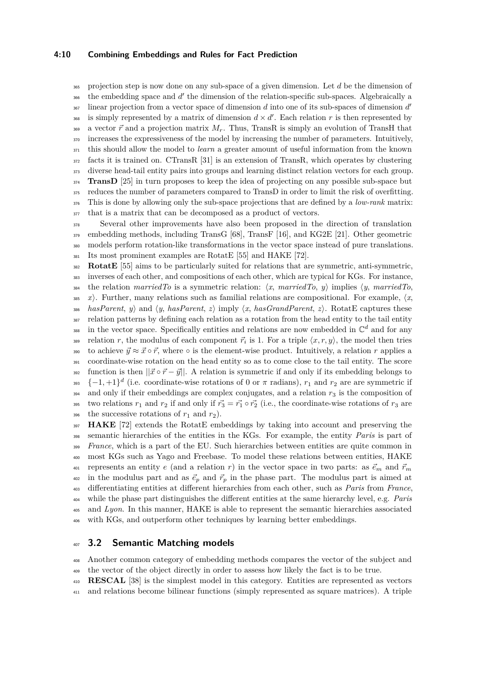### **4:10 Combining Embeddings and Rules for Fact Prediction**

 projection step is now done on any sub-space of a given dimension. Let *d* be the dimension of <sup>366</sup> the embedding space and d' the dimension of the relation-specific sub-spaces. Algebraically a linear projection from a vector space of dimension *d* into one of its sub-spaces of dimension *d'* is simply represented by a matrix of dimension  $d \times d'$ . Each relation r is then represented by 369 a vector  $\vec{r}$  and a projection matrix  $M_r$ . Thus, TransR is simply an evolution of TransH that increases the expressiveness of the model by increasing the number of parameters. Intuitively, this should allow the model to *learn* a greater amount of useful information from the known facts it is trained on. CTransR [\[31\]](#page-27-4) is an extension of TransR, which operates by clustering diverse head-tail entity pairs into groups and learning distinct relation vectors for each group. <sup>374</sup> **TransD** [\[25\]](#page-27-5) in turn proposes to keep the idea of projecting on any possible sub-space but reduces the number of parameters compared to TransD in order to limit the risk of overfitting. This is done by allowing only the sub-space projections that are defined by a *low-rank* matrix: that is a matrix that can be decomposed as a product of vectors.

 Several other improvements have also been proposed in the direction of translation embedding methods, including TransG [\[68\]](#page-29-6), TransF [\[16\]](#page-27-6), and KG2E [\[21\]](#page-27-7). Other geometric models perform rotation-like transformations in the vector space instead of pure translations. Its most prominent examples are RotatE [\[55\]](#page-28-8) and HAKE [\[72\]](#page-29-7).

 **RotatE** [\[55\]](#page-28-8) aims to be particularly suited for relations that are symmetric, anti-symmetric, inverses of each other, and compositions of each other, which are typical for KGs. For instance, 384 the relation *marriedTo* is a symmetric relation:  $\langle x, \text{ marriedTo}, y \rangle$  implies  $\langle y, \text{ marriedTo}, y \rangle$ 385 *x*). Further, many relations such as familial relations are compositional. For example,  $\langle x, \rangle$ 386 *hasParent*, *y*) and  $\langle y, \text{hasParent}, z \rangle$  imply  $\langle x, \text{hasGrandParent}, z \rangle$ . RotatE captures these relation patterns by defining each relation as a rotation from the head entity to the tail entity <sup>388</sup> in the vector space. Specifically entities and relations are now embedded in  $\mathbb{C}^d$  and for any relation *r*, the modulus of each component  $\vec{r}_i$  is 1. For a triple  $\langle x, r, y \rangle$ , the model then tries 390 to achieve  $\vec{y} \approx \vec{x} \circ \vec{r}$ , where  $\circ$  is the element-wise product. Intuitively, a relation *r* applies a coordinate-wise rotation on the head entity so as to come close to the tail entity. The score 392 function is then  $||\vec{x} \circ \vec{r} - \vec{y}||$ . A relation is symmetric if and only if its embedding belongs to  $_{393}$  {-1, +1}<sup>d</sup> (i.e. coordinate-wise rotations of 0 or  $\pi$  radians),  $r_1$  and  $r_2$  are are symmetric if and only if their embeddings are complex conjugates, and a relation  $r<sub>3</sub>$  is the composition of 395 two relations  $r_1$  and  $r_2$  if and only if  $r_3^2 = r_1^2 \circ r_2^2$  (i.e., the coordinate-wise rotations of  $r_3$  are 396 the successive rotations of  $r_1$  and  $r_2$ ).

 **HAKE** [\[72\]](#page-29-7) extends the RotatE embeddings by taking into account and preserving the semantic hierarchies of the entities in the KGs. For example, the entity *Paris* is part of *France*, which is a part of the EU. Such hierarchies between entities are quite common in most KGs such as Yago and Freebase. To model these relations between entities, HAKE 401 represents an entity *e* (and a relation *r*) in the vector space in two parts: as  $\vec{e}_m$  and  $\vec{r}_m$ <sup>402</sup> in the modulus part and as  $\vec{e}_p$  and  $\vec{r}_p$  in the phase part. The modulus part is aimed at differentiating entities at different hierarchies from each other, such as *Paris* from *France*, while the phase part distinguishes the different entities at the same hierarchy level, e.g. *Paris* and *Lyon*. In this manner, HAKE is able to represent the semantic hierarchies associated with KGs, and outperform other techniques by learning better embeddings.

### <span id="page-9-0"></span>**3.2 Semantic Matching models**

 Another common category of embedding methods compares the vector of the subject and the vector of the object directly in order to assess how likely the fact is to be true.

**RESCAL** [\[38\]](#page-28-9) is the simplest model in this category. Entities are represented as vectors

and relations become bilinear functions (simply represented as square matrices). A triple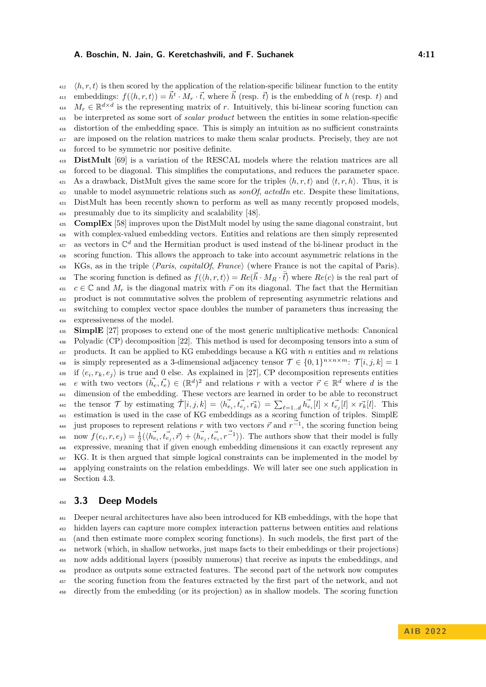$\langle h, r, t \rangle$  is then scored by the application of the relation-specific bilinear function to the entity <sup>413</sup> embeddings:  $f(\langle h, r, t \rangle) = \vec{h}^t \cdot M_r \cdot \vec{t}$ , where  $\vec{h}$  (resp.  $\vec{t}$ ) is the embedding of *h* (resp. *t*) and  $M_r \in \mathbb{R}^{d \times d}$  is the representing matrix of *r*. Intuitively, this bi-linear scoring function can be interpreted as some sort of *scalar product* between the entities in some relation-specific distortion of the embedding space. This is simply an intuition as no sufficient constraints are imposed on the relation matrices to make them scalar products. Precisely, they are not forced to be symmetric nor positive definite.

 **DistMult** [\[69\]](#page-29-8) is a variation of the RESCAL models where the relation matrices are all forced to be diagonal. This simplifies the computations, and reduces the parameter space. 421 As a drawback, DistMult gives the same score for the triples  $\langle h, r, t \rangle$  and  $\langle t, r, h \rangle$ . Thus, it is unable to model asymmetric relations such as *sonOf*, *actedIn* etc. Despite these limitations, DistMult has been recently shown to perform as well as many recently proposed models, presumably due to its simplicity and scalability [\[48\]](#page-28-10).

<sup>425</sup> **ComplEx** [\[58\]](#page-29-9) improves upon the DistMult model by using the same diagonal constraint, but with complex-valued embedding vectors. Entities and relations are then simply represented <sup>427</sup> as vectors in  $\mathbb{C}^d$  and the Hermitian product is used instead of the bi-linear product in the scoring function. This allows the approach to take into account asymmetric relations in the KGs, as in the triple h*Paris*, *capitalOf*, *France*i (where France is not the capital of Paris). The scoring function is defined as  $f(\langle h,r,t\rangle) = Re(\vec{h} \cdot M_R \cdot \overline{\vec{t}})$  where  $Re(c)$  is the real part of  $c \in \mathbb{C}$  and  $M_r$  is the diagonal matrix with  $\vec{r}$  on its diagonal. The fact that the Hermitian product is not commutative solves the problem of representing asymmetric relations and switching to complex vector space doubles the number of parameters thus increasing the expressiveness of the model.

 **SimplE** [\[27\]](#page-27-8) proposes to extend one of the most generic multiplicative methods: Canonical Polyadic (CP) decomposition [\[22\]](#page-27-9). This method is used for decomposing tensors into a sum of products. It can be applied to KG embeddings because a KG with *n* entities and *m* relations is simply represented as a 3-dimensional adjacency tensor  $\mathcal{T} \in \{0,1\}^{n \times n \times m}$ :  $\mathcal{T}[i, j, k] = 1$ <sup>439</sup> if  $\langle e_i, r_k, e_j \rangle$  is true and 0 else. As explained in [\[27\]](#page-27-8), CP decomposition represents entities *e* with two vectors  $(\vec{h_e}, \vec{t_e}) \in (\mathbb{R}^d)^2$  and relations *r* with a vector  $\vec{r} \in \mathbb{R}^d$  where *d* is the dimension of the embedding. These vectors are learned in order to be able to reconstruct <sup>442</sup> the tensor T by estimating  $\hat{\mathcal{T}}[i,j,k] = \langle \vec{h_{e_i}}, \vec{t_{e_j}}, \vec{r_k} \rangle = \sum_{\ell=1..d} \vec{h_{e_i}}[l] \times \vec{t_{e_j}}[l] \times \vec{r_k}[l]$ . This estimation is used in the case of KG embeddings as a scoring function of triples. SimplE <sup>444</sup> just proposes to represent relations *r* with two vectors  $\vec{r}$  and  $r^{-1}$ , the scoring function being 445 now  $f(e_i, r, e_j) = \frac{1}{2}(\langle \vec{h_{e_i}}, \vec{t_{e_j}}, \vec{r} \rangle + \langle \vec{h_{e_j}}, \vec{t_{e_i}}, \vec{r^{-1}} \rangle)$ . The authors show that their model is fully expressive, meaning that if given enough embedding dimensions it can exactly represent any KG. It is then argued that simple logical constraints can be implemented in the model by applying constraints on the relation embeddings. We will later see one such application in Section [4.3.](#page-17-0)

### **3.3 Deep Models**

 Deeper neural architectures have also been introduced for KB embeddings, with the hope that hidden layers can capture more complex interaction patterns between entities and relations (and then estimate more complex scoring functions). In such models, the first part of the network (which, in shallow networks, just maps facts to their embeddings or their projections) now adds additional layers (possibly numerous) that receive as inputs the embeddings, and produce as outputs some extracted features. The second part of the network now computes the scoring function from the features extracted by the first part of the network, and not directly from the embedding (or its projection) as in shallow models. The scoring function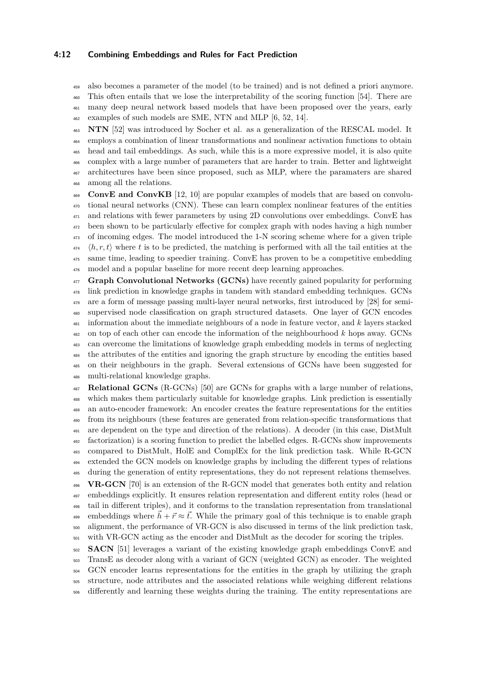### **4:12 Combining Embeddings and Rules for Fact Prediction**

 also becomes a parameter of the model (to be trained) and is not defined a priori anymore. This often entails that we lose the interpretability of the scoring function [\[54\]](#page-28-4). There are many deep neural network based models that have been proposed over the years, early

examples of such models are SME, NTN and MLP [\[6,](#page-26-3) [52,](#page-28-11) [14\]](#page-27-10).

 **NTN** [\[52\]](#page-28-11) was introduced by Socher et al. as a generalization of the RESCAL model. It employs a combination of linear transformations and nonlinear activation functions to obtain head and tail embeddings. As such, while this is a more expressive model, it is also quite complex with a large number of parameters that are harder to train. Better and lightweight architectures have been since proposed, such as MLP, where the paramaters are shared among all the relations.

 **ConvE and ConvKB** [\[12,](#page-27-11) [10\]](#page-27-12) are popular examples of models that are based on convolu- tional neural networks (CNN). These can learn complex nonlinear features of the entities <sup>471</sup> and relations with fewer parameters by using 2D convolutions over embeddings. ConvE has <sup>472</sup> been shown to be particularly effective for complex graph with nodes having a high number of incoming edges. The model introduced the 1-N scoring scheme where for a given triple  $\langle h, r, t \rangle$  where t is to be predicted, the matching is performed with all the tail entities at the same time, leading to speedier training. ConvE has proven to be a competitive embedding model and a popular baseline for more recent deep learning approaches.

**Graph Convolutional Networks (GCNs)** have recently gained popularity for performing link prediction in knowledge graphs in tandem with standard embedding techniques. GCNs are a form of message passing multi-layer neural networks, first introduced by [\[28\]](#page-27-13) for semi- supervised node classification on graph structured datasets. One layer of GCN encodes information about the immediate neighbours of a node in feature vector, and *k* layers stacked on top of each other can encode the information of the neighbourhood *k* hops away. GCNs can overcome the limitations of knowledge graph embedding models in terms of neglecting the attributes of the entities and ignoring the graph structure by encoding the entities based on their neighbours in the graph. Several extensions of GCNs have been suggested for multi-relational knowledge graphs.

 **Relational GCNs** (R-GCNs) [\[50\]](#page-28-12) are GCNs for graphs with a large number of relations, which makes them particularly suitable for knowledge graphs. Link prediction is essentially an auto-encoder framework: An encoder creates the feature representations for the entities from its neighbours (these features are generated from relation-specific transformations that are dependent on the type and direction of the relations). A decoder (in this case, DistMult factorization) is a scoring function to predict the labelled edges. R-GCNs show improvements compared to DistMult, HolE and ComplEx for the link prediction task. While R-GCN extended the GCN models on knowledge graphs by including the different types of relations during the generation of entity representations, they do not represent relations themselves. **VR-GCN** [\[70\]](#page-29-10) is an extension of the R-GCN model that generates both entity and relation embeddings explicitly. It ensures relation representation and different entity roles (head or tail in different triples), and it conforms to the translation representation from translational embeddings where  $\vec{h} + \vec{r} \approx \vec{t}$ . While the primary goal of this technique is to enable graph alignment, the performance of VR-GCN is also discussed in terms of the link prediction task, with VR-GCN acting as the encoder and DistMult as the decoder for scoring the triples.

 **SACN** [\[51\]](#page-28-13) leverages a variant of the existing knowledge graph embeddings ConvE and TransE as decoder along with a variant of GCN (weighted GCN) as encoder. The weighted GCN encoder learns representations for the entities in the graph by utilizing the graph structure, node attributes and the associated relations while weighing different relations <sub>506</sub> differently and learning these weights during the training. The entity representations are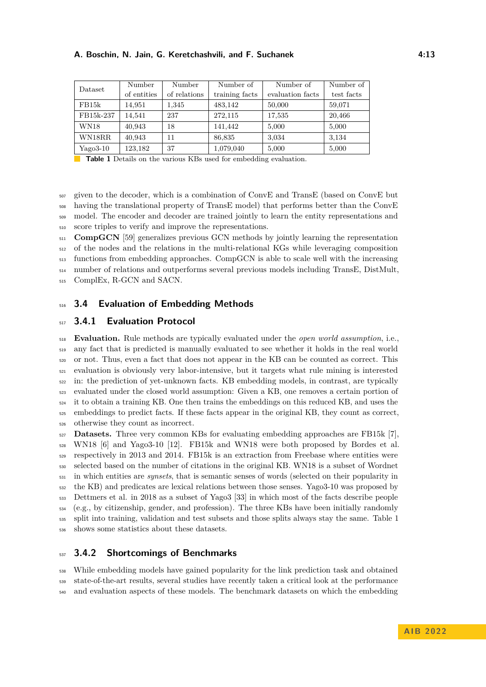<span id="page-12-0"></span>

| Dataset     | Number      | Number       | Number of      | Number of        | Number of  |
|-------------|-------------|--------------|----------------|------------------|------------|
|             | of entities | of relations | training facts | evaluation facts | test facts |
| FB15k       | 14,951      | 1,345        | 483,142        | 50,000           | 59,071     |
| FB15k-237   | 14.541      | 237          | 272,115        | 17,535           | 20,466     |
| <b>WN18</b> | 40,943      | 18           | 141.442        | 5,000            | 5,000      |
| WN18RR      | 40,943      | 11           | 86,835         | 3,034            | 3.134      |
| $Yago3-10$  | 123,182     | 37           | 1,079,040      | 5,000            | 5,000      |

**Table 1** Details on the various KBs used for embedding evaluation.

 given to the decoder, which is a combination of ConvE and TransE (based on ConvE but having the translational property of TransE model) that performs better than the ConvE model. The encoder and decoder are trained jointly to learn the entity representations and score triples to verify and improve the representations.

<sup>511</sup> **CompGCN** [\[59\]](#page-29-11) generalizes previous GCN methods by jointly learning the representation of the nodes and the relations in the multi-relational KGs while leveraging composition functions from embedding approaches. CompGCN is able to scale well with the increasing number of relations and outperforms several previous models including TransE, DistMult, ComplEx, R-GCN and SACN.

### **3.4 Evaluation of Embedding Methods**

### **3.4.1 Evaluation Protocol**

 **Evaluation.** Rule methods are typically evaluated under the *open world assumption*, i.e., any fact that is predicted is manually evaluated to see whether it holds in the real world or not. Thus, even a fact that does not appear in the KB can be counted as correct. This evaluation is obviously very labor-intensive, but it targets what rule mining is interested in: the prediction of yet-unknown facts. KB embedding models, in contrast, are typically evaluated under the closed world assumption: Given a KB, one removes a certain portion of it to obtain a training KB. One then trains the embeddings on this reduced KB, and uses the embeddings to predict facts. If these facts appear in the original KB, they count as correct, otherwise they count as incorrect.

 **Datasets.** Three very common KBs for evaluating embedding approaches are FB15k [\[7\]](#page-26-2), WN18 [\[6\]](#page-26-3) and Yago3-10 [\[12\]](#page-27-11). FB15k and WN18 were both proposed by Bordes et al. respectively in 2013 and 2014. FB15k is an extraction from Freebase where entities were selected based on the number of citations in the original KB. WN18 is a subset of Wordnet in which entities are *synsets*, that is semantic senses of words (selected on their popularity in the KB) and predicates are lexical relations between those senses. Yago3-10 was proposed by Dettmers et al. in 2018 as a subset of Yago3 [\[33\]](#page-27-14) in which most of the facts describe people (e.g., by citizenship, gender, and profession). The three KBs have been initially randomly split into training, validation and test subsets and those splits always stay the same. Table [1](#page-12-0) shows some statistics about these datasets.

# **3.4.2 Shortcomings of Benchmarks**

 While embedding models have gained popularity for the link prediction task and obtained state-of-the-art results, several studies have recently taken a critical look at the performance and evaluation aspects of these models. The benchmark datasets on which the embedding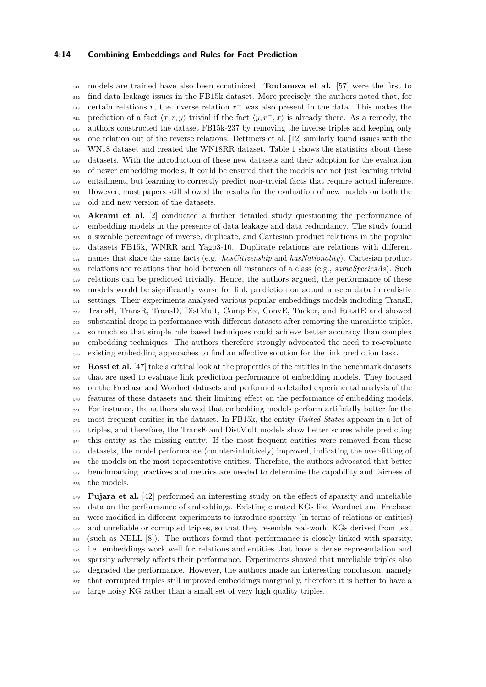#### **4:14 Combining Embeddings and Rules for Fact Prediction**

 models are trained have also been scrutinized. **Toutanova et al.** [\[57\]](#page-28-14) were the first to find data leakage issues in the FB15k dataset. More precisely, the authors noted that, for  $_{543}$  certain relations *r*, the inverse relation  $r^-$  was also present in the data. This makes the prediction of a fact  $\langle x, r, y \rangle$  trivial if the fact  $\langle y, r^-, x \rangle$  is already there. As a remedy, the authors constructed the dataset FB15k-237 by removing the inverse triples and keeping only one relation out of the reverse relations. Dettmers et al. [\[12\]](#page-27-11) similarly found issues with the WN18 dataset and created the WN18RR dataset. Table [1](#page-12-0) shows the statistics about these datasets. With the introduction of these new datasets and their adoption for the evaluation <sub>549</sub> of newer embedding models, it could be ensured that the models are not just learning trivial entailment, but learning to correctly predict non-trivial facts that require actual inference. However, most papers still showed the results for the evaluation of new models on both the old and new version of the datasets.

 **Akrami et al.** [\[2\]](#page-26-4) conducted a further detailed study questioning the performance of embedding models in the presence of data leakage and data redundancy. The study found a sizeable percentage of inverse, duplicate, and Cartesian product relations in the popular datasets FB15k, WNRR and Yago3-10. Duplicate relations are relations with different names that share the same facts (e.g., *hasCitizenship* and *hasNationality*). Cartesian product relations are relations that hold between all instances of a class (e.g., *sameSpeciesAs*). Such relations can be predicted trivially. Hence, the authors argued, the performance of these models would be significantly worse for link prediction on actual unseen data in realistic settings. Their experiments analysed various popular embeddings models including TransE, TransH, TransR, TransD, DistMult, ComplEx, ConvE, Tucker, and RotatE and showed substantial drops in performance with different datasets after removing the unrealistic triples, so much so that simple rule based techniques could achieve better accuracy than complex embedding techniques. The authors therefore strongly advocated the need to re-evaluate existing embedding approaches to find an effective solution for the link prediction task.

 **Rossi et al.** [\[47\]](#page-28-15) take a critical look at the properties of the entities in the benchmark datasets that are used to evaluate link prediction performance of embedding models. They focused on the Freebase and Wordnet datasets and performed a detailed experimental analysis of the <sub>570</sub> features of these datasets and their limiting effect on the performance of embedding models. For instance, the authors showed that embedding models perform artificially better for the most frequent entities in the dataset. In FB15k, the entity *United States* appears in a lot of triples, and therefore, the TransE and DistMult models show better scores while predicting this entity as the missing entity. If the most frequent entities were removed from these datasets, the model performance (counter-intuitively) improved, indicating the over-fitting of the models on the most representative entities. Therefore, the authors advocated that better benchmarking practices and metrics are needed to determine the capability and fairness of the models.

 **Pujara et al.** [\[42\]](#page-28-16) performed an interesting study on the effect of sparsity and unreliable data on the performance of embeddings. Existing curated KGs like Wordnet and Freebase were modified in different experiments to introduce sparsity (in terms of relations or entities) and unreliable or corrupted triples, so that they resemble real-world KGs derived from text (such as NELL [\[8\]](#page-26-5)). The authors found that performance is closely linked with sparsity, i.e. embeddings work well for relations and entities that have a dense representation and sparsity adversely affects their performance. Experiments showed that unreliable triples also degraded the performance. However, the authors made an interesting conclusion, namely that corrupted triples still improved embeddings marginally, therefore it is better to have a large noisy KG rather than a small set of very high quality triples.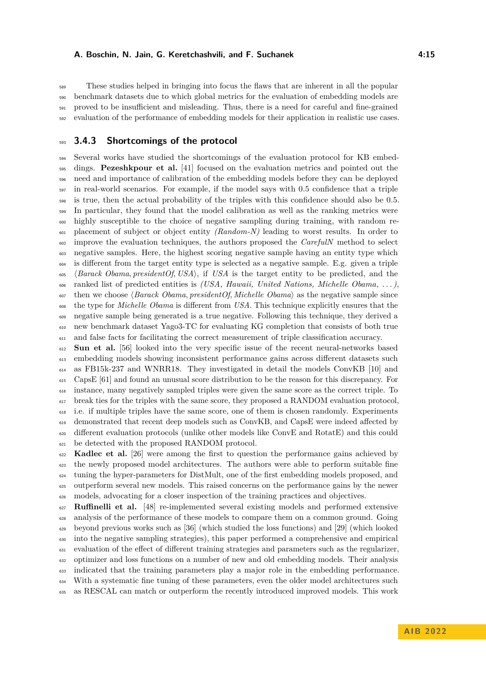These studies helped in bringing into focus the flaws that are inherent in all the popular benchmark datasets due to which global metrics for the evaluation of embedding models are proved to be insufficient and misleading. Thus, there is a need for careful and fine-grained evaluation of the performance of embedding models for their application in realistic use cases.

### **3.4.3 Shortcomings of the protocol**

 Several works have studied the shortcomings of the evaluation protocol for KB embed- dings. **Pezeshkpour et al.** [\[41\]](#page-28-17) focused on the evaluation metrics and pointed out the need and importance of calibration of the embedding models before they can be deployed in real-world scenarios. For example, if the model says with 0.5 confidence that a triple is true, then the actual probability of the triples with this confidence should also be 0.5. In particular, they found that the model calibration as well as the ranking metrics were highly susceptible to the choice of negative sampling during training, with random re- placement of subject or object entity *(Random-N)* leading to worst results. In order to improve the evaluation techniques, the authors proposed the *CarefulN* method to select negative samples. Here, the highest scoring negative sample having an entity type which is different from the target entity type is selected as a negative sample. E.g. given a triple h*Barack Obama, presidentOf, USA*i, if *USA* is the target entity to be predicted, and the ranked list of predicted entities is *(USA, Hawaii, United Nations, Michelle Obama, . . . )*,  $\epsilon_{607}$  then we choose  $\langle Barack\;Obama, president\;Of\;Michelle\;Obama\rangle$  as the negative sample since the type for *Michelle Obama* is different from *USA*. This technique explicitly ensures that the negative sample being generated is a true negative. Following this technique, they derived a new benchmark dataset Yago3-TC for evaluating KG completion that consists of both true and false facts for facilitating the correct measurement of triple classification accuracy.

 **Sun et al.** [\[56\]](#page-28-18) looked into the very specific issue of the recent neural-networks based embedding models showing inconsistent performance gains across different datasets such as FB15k-237 and WNRR18. They investigated in detail the models ConvKB [\[10\]](#page-27-12) and CapsE [\[61\]](#page-29-12) and found an unusual score distribution to be the reason for this discrepancy. For instance, many negatively sampled triples were given the same score as the correct triple. To break ties for the triples with the same score, they proposed a RANDOM evaluation protocol, i.e. if multiple triples have the same score, one of them is chosen randomly. Experiments demonstrated that recent deep models such as ConvKB, and CapsE were indeed affected by different evaluation protocols (unlike other models like ConvE and RotatE) and this could be detected with the proposed RANDOM protocol.

 **Kadlec et al.** [\[26\]](#page-27-15) were among the first to question the performance gains achieved by the newly proposed model architectures. The authors were able to perform suitable fine tuning the hyper-parameters for DistMult, one of the first embedding models proposed, and outperform several new models. This raised concerns on the performance gains by the newer models, advocating for a closer inspection of the training practices and objectives.

 **Ruffinelli et al.** [\[48\]](#page-28-10) re-implemented several existing models and performed extensive analysis of the performance of these models to compare them on a common ground. Going 629 beyond previous works such as  $[36]$  (which studied the loss functions) and  $[29]$  (which looked into the negative sampling strategies), this paper performed a comprehensive and empirical evaluation of the effect of different training strategies and parameters such as the regularizer, optimizer and loss functions on a number of new and old embedding models. Their analysis indicated that the training parameters play a major role in the embedding performance. With a systematic fine tuning of these parameters, even the older model architectures such as RESCAL can match or outperform the recently introduced improved models. This work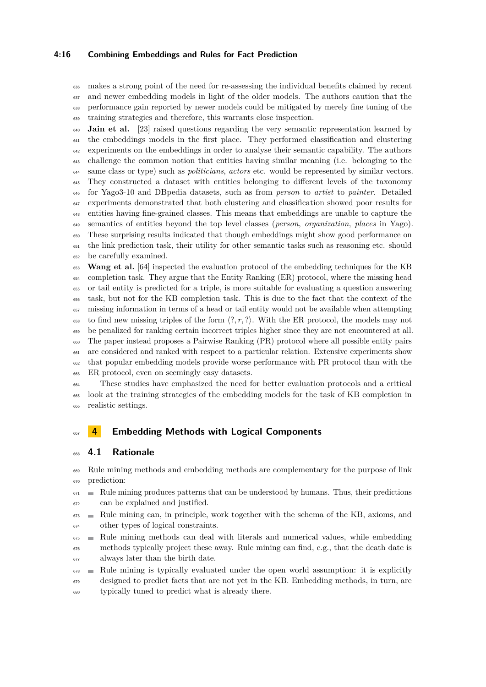### **4:16 Combining Embeddings and Rules for Fact Prediction**

 makes a strong point of the need for re-assessing the individual benefits claimed by recent and newer embedding models in light of the older models. The authors caution that the performance gain reported by newer models could be mitigated by merely fine tuning of the training strategies and therefore, this warrants close inspection.

**Jain et al.** [\[23\]](#page-27-17) raised questions regarding the very semantic representation learned by the embeddings models in the first place. They performed classification and clustering experiments on the embeddings in order to analyse their semantic capability. The authors challenge the common notion that entities having similar meaning (i.e. belonging to the same class or type) such as *politicians*, *actors* etc. would be represented by similar vectors. They constructed a dataset with entities belonging to different levels of the taxonomy for Yago3-10 and DBpedia datasets, such as from *person* to *artist* to *painter*. Detailed experiments demonstrated that both clustering and classification showed poor results for entities having fine-grained classes. This means that embeddings are unable to capture the semantics of entities beyond the top level classes (*person*, *organization*, *places* in Yago). These surprising results indicated that though embeddings might show good performance on the link prediction task, their utility for other semantic tasks such as reasoning etc. should be carefully examined.

 **Wang et al.** [\[64\]](#page-29-13) inspected the evaluation protocol of the embedding techniques for the KB completion task. They argue that the Entity Ranking (ER) protocol, where the missing head or tail entity is predicted for a triple, is more suitable for evaluating a question answering task, but not for the KB completion task. This is due to the fact that the context of the missing information in terms of a head or tail entity would not be available when attempting  $\frac{658}{100}$  to find new missing triples of the form  $\langle ?, r, ? \rangle$ . With the ER protocol, the models may not be penalized for ranking certain incorrect triples higher since they are not encountered at all. The paper instead proposes a Pairwise Ranking (PR) protocol where all possible entity pairs are considered and ranked with respect to a particular relation. Extensive experiments show that popular embedding models provide worse performance with PR protocol than with the ER protocol, even on seemingly easy datasets.

 These studies have emphasized the need for better evaluation protocols and a critical look at the training strategies of the embedding models for the task of KB completion in realistic settings.

### <span id="page-15-0"></span>**4 Embedding Methods with Logical Components**

### **4.1 Rationale**

<sup>669</sup> Rule mining methods and embedding methods are complementary for the purpose of link prediction:

- $671 \equiv$  Rule mining produces patterns that can be understood by humans. Thus, their predictions can be explained and justified.
- Rule mining can, in principle, work together with the schema of the KB, axioms, and other types of logical constraints.
- Rule mining methods can deal with literals and numerical values, while embedding methods typically project these away. Rule mining can find, e.g., that the death date is always later than the birth date.
- $\epsilon_{678}$  Rule mining is typically evaluated under the open world assumption: it is explicitly designed to predict facts that are not yet in the KB. Embedding methods, in turn, are typically tuned to predict what is already there.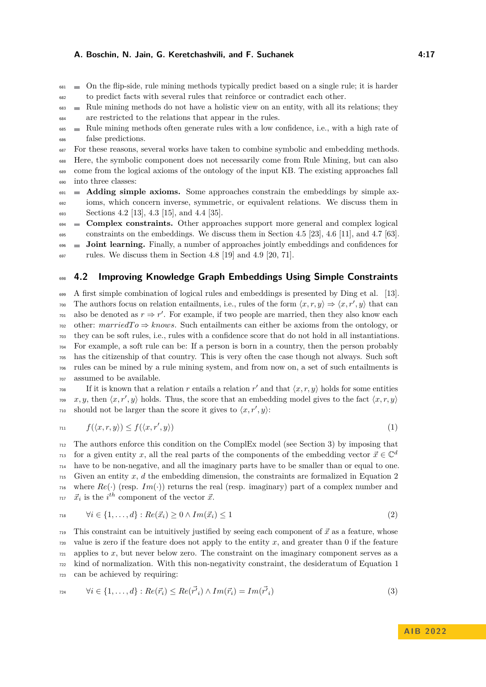$\blacksquare$  On the flip-side, rule mining methods typically predict based on a single rule; it is harder to predict facts with several rules that reinforce or contradict each other.

<sup>683</sup> Rule mining methods do not have a holistic view on an entity, with all its relations; they are restricted to the relations that appear in the rules.

 Rule mining methods often generate rules with a low confidence, i.e., with a high rate of false predictions.

For these reasons, several works have taken to combine symbolic and embedding methods.

 Here, the symbolic component does not necessarily come from Rule Mining, but can also come from the logical axioms of the ontology of the input KB. The existing approaches fall into three classes:

 **Adding simple axioms.** Some approaches constrain the embeddings by simple ax- ioms, which concern inverse, symmetric, or equivalent relations. We discuss them in Sections [4.2](#page-16-0) [\[13\]](#page-27-18), [4.3](#page-17-0) [\[15\]](#page-27-19), and [4.4](#page-18-0) [\[35\]](#page-28-20).

**Complex constraints.** Other approaches support more general and complex logical

 $\frac{695}{695}$  constraints on the embeddings. We discuss them in Section [4.5](#page-18-1) [\[23\]](#page-27-17), [4.6](#page-20-0) [\[11\]](#page-27-20), and [4.7](#page-21-0) [\[63\]](#page-29-14).

 **Joint learning.** Finally, a number of approaches jointly embeddings and confidences for  $\frac{697}{200}$  rules. We discuss them in Section [4.8](#page-22-0) [\[19\]](#page-27-21) and [4.9](#page-23-0) [\[20,](#page-27-22) [71\]](#page-29-15).

### <span id="page-16-0"></span>**4.2 Improving Knowledge Graph Embeddings Using Simple Constraints**

 A first simple combination of logical rules and embeddings is presented by Ding et al. [\[13\]](#page-27-18). The authors focus on relation entailments, i.e., rules of the form  $\langle x, r, y \rangle \Rightarrow \langle x, r', y \rangle$  that can  $\tau_{\text{01}}$  also be denoted as  $r \Rightarrow r'$ . For example, if two people are married, then they also know each other:  $marriedTo \Rightarrow knows.$  Such entailments can either be axioms from the ontology, or they can be soft rules, i.e., rules with a confidence score that do not hold in all instantiations. For example, a soft rule can be: If a person is born in a country, then the person probably has the citizenship of that country. This is very often the case though not always. Such soft rules can be mined by a rule mining system, and from now on, a set of such entailments is assumed to be available.

<span id="page-16-2"></span>If it is known that a relation *r* entails a relation  $r'$  and that  $\langle x, r, y \rangle$  holds for some entities  $\alpha_2$  *x, y,* then  $\langle x, r', y \rangle$  holds. Thus, the score that an embedding model gives to the fact  $\langle x, r, y \rangle$  $\alpha$  should not be larger than the score it gives to  $\langle x, r', y \rangle$ :

$$
f(\langle x, r, y \rangle) \le f(\langle x, r', y \rangle) \tag{1}
$$

 The authors enforce this condition on the ComplEx model (see Section [3\)](#page-7-0) by imposing that for a given entity *x*, all the real parts of the components of the embedding vector  $\vec{x} \in \mathbb{C}^d$  have to be non-negative, and all the imaginary parts have to be smaller than or equal to one. Given an entity *x*, *d* the embedding dimension, the constraints are formalized in Equation [2](#page-16-1) <sup>716</sup> where  $Re(\cdot)$  (resp.  $Im(\cdot)$ ) returns the real (resp. imaginary) part of a complex number and  $\vec{x}_i$  is the *i*<sup>th</sup> component of the vector  $\vec{x}$ .

<span id="page-16-1"></span>
$$
\forall i \in \{1, \dots, d\} : Re(\vec{x}_i) \ge 0 \land Im(\vec{x}_i) \le 1 \tag{2}
$$

This constraint can be intuitively justified by seeing each component of  $\vec{x}$  as a feature, whose value is zero if the feature does not apply to the entity *x*, and greater than 0 if the feature  $\tau$ <sub>721</sub> applies to *x*, but never below zero. The constraint on the imaginary component serves as a kind of normalization. With this non-negativity constraint, the desideratum of Equation [1](#page-16-2) can be achieved by requiring:

<span id="page-16-3"></span>
$$
\forall i \in \{1, \dots, d\} : Re(\vec{r_i}) \le Re(\vec{r'}_i) \land Im(\vec{r_i}) = Im(\vec{r'}_i)
$$
\n
$$
(3)
$$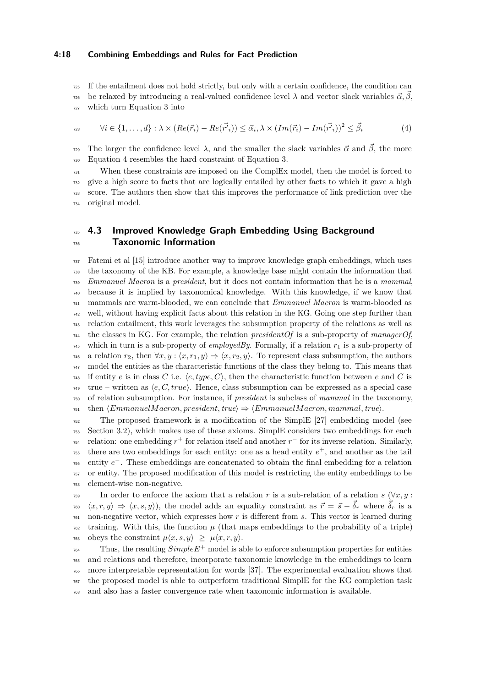#### **4:18 Combining Embeddings and Rules for Fact Prediction**

If the entailment does not hold strictly, but only with a certain confidence, the condition can

<span id="page-17-1"></span>be relaxed by introducing a real-valued confidence level  $\lambda$  and vector slack variables  $\vec{\alpha}, \vec{\beta}$ , which turn Equation [3](#page-16-3) into

$$
\forall i \in \{1, \dots, d\} : \lambda \times (Re(\vec{r_i}) - Re(\vec{r'}_i)) \leq \vec{\alpha}_i, \lambda \times (Im(\vec{r_i}) - Im(\vec{r'}_i))^2 \leq \vec{\beta}_i
$$
(4)

The larger the confidence level  $\lambda$ , and the smaller the slack variables  $\vec{\alpha}$  and  $\vec{\beta}$ , the more Equation [4](#page-17-1) resembles the hard constraint of Equation [3.](#page-16-3)

 When these constraints are imposed on the ComplEx model, then the model is forced to give a high score to facts that are logically entailed by other facts to which it gave a high score. The authors then show that this improves the performance of link prediction over the original model.

# <span id="page-17-0"></span> **4.3 Improved Knowledge Graph Embedding Using Background Taxonomic Information**

 Fatemi et al [\[15\]](#page-27-19) introduce another way to improve knowledge graph embeddings, which uses the taxonomy of the KB. For example, a knowledge base might contain the information that *Emmanuel Macron* is a *president*, but it does not contain information that he is a *mammal*, because it is implied by taxonomical knowledge. With this knowledge, if we know that mammals are warm-blooded, we can conclude that *Emmanuel Macron* is warm-blooded as well, without having explicit facts about this relation in the KG. Going one step further than relation entailment, this work leverages the subsumption property of the relations as well as the classes in KG. For example, the relation *presidentOf* is a sub-property of *managerOf*,  $_{745}$  which in turn is a sub-property of *employedBy*. Formally, if a relation  $r_1$  is a sub-property of  $\forall x, y : \langle x, r_1, y \rangle \Rightarrow \langle x, r_2, y \rangle$ . To represent class subsumption, the authors model the entities as the characteristic functions of the class they belong to. This means that <sup>748</sup> if entity *e* is in class *C* i.e.  $\langle e, type, C \rangle$ , then the characteristic function between *e* and *C* is  $\chi_{149}$  true – written as  $\langle e, C, true \rangle$ . Hence, class subsumption can be expressed as a special case of relation subsumption. For instance, if *president* is subclass of *mammal* in the taxonomy,  $\tau_{51}$  then  $\langle Emmanuel\,March, president, true \rangle \Rightarrow \langle Emmanuel\,March, mammal, true \rangle$ .

 The proposed framework is a modification of the SimplE [\[27\]](#page-27-8) embedding model (see Section [3.2\)](#page-9-0), which makes use of these axioms. SimplE considers two embeddings for each  $r_{\text{54}}$  relation: one embedding  $r^+$  for relation itself and another  $r^-$  for its inverse relation. Similarly,  $\tau$ <sup>55</sup> there are two embeddings for each entity: one as a head entity  $e^+$ , and another as the tail <sup>756</sup> entity  $e^-$ . These embeddings are concatenated to obtain the final embedding for a relation or entity. The proposed modification of this model is restricting the entity embeddings to be element-wise non-negative.

 $T_{759}$  In order to enforce the axiom that a relation *r* is a sub-relation of a relation *s* ( $\forall x, y$ ):  $\langle x, r, y \rangle \Rightarrow \langle x, s, y \rangle$ , the model adds an equality constraint as  $\vec{r} = \vec{s} - \vec{\delta}_r$  where  $\vec{\delta}_r$  is a non-negative vector, which expresses how *r* is different from *s*. This vector is learned during training. With this, the function  $\mu$  (that maps embeddings to the probability of a triple)  $\mu(x, s, y) \geq \mu\langle x, r, y \rangle$ .

 $T_{64}$  Thus, the resulting  $SimpleE^+$  model is able to enforce subsumption properties for entities and relations and therefore, incorporate taxonomic knowledge in the embeddings to learn more interpretable representation for words [\[37\]](#page-28-21). The experimental evaluation shows that the proposed model is able to outperform traditional SimplE for the KG completion task and also has a faster convergence rate when taxonomic information is available.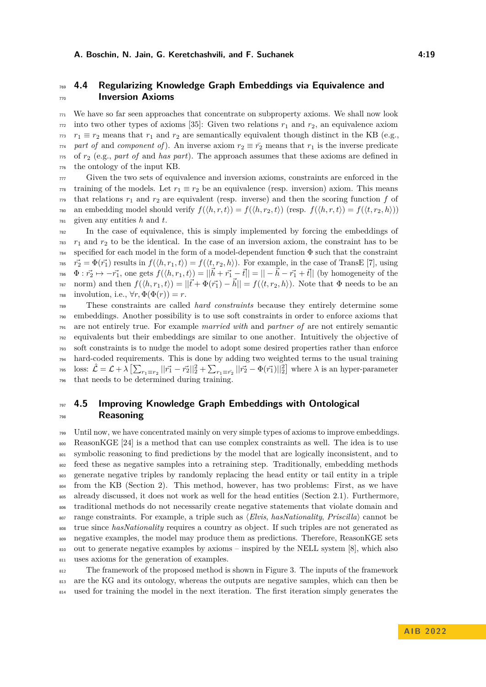# <span id="page-18-0"></span> **4.4 Regularizing Knowledge Graph Embeddings via Equivalence and Inversion Axioms**

 We have so far seen approaches that concentrate on subproperty axioms. We shall now look into two other types of axioms [\[35\]](#page-28-20): Given two relations  $r_1$  and  $r_2$ , an equivalence axiom  $r_1 \equiv r_2$  means that  $r_1$  and  $r_2$  are semantically equivalent though distinct in the KB (e.g.,  $\tau_1$ <sup>4</sup> part of and *component of*). An inverse axiom  $r_2 \equiv \bar{r_2}$  means that  $r_1$  is the inverse predicate of *r*<sup>2</sup> (e.g., *part of* and *has part*). The approach assumes that these axioms are defined in the ontology of the input KB.

 Given the two sets of equivalence and inversion axioms, constraints are enforced in the training of the models. Let  $r_1 \equiv r_2$  be an equivalence (resp. inversion) axiom. This means  $\tau_1$ <sup>n</sup> that relations  $r_1$  and  $r_2$  are equivalent (resp. inverse) and then the scoring function f of  $\tau$ <sup>80</sup> an embedding model should verify  $f(\langle h, r, t \rangle) = f(\langle h, r_2, t \rangle)$  (resp.  $f(\langle h, r, t \rangle) = f(\langle t, r_2, h \rangle)$ ) given any entities *h* and *t*.

 In the case of equivalence, this is simply implemented by forcing the embeddings of  $r_1$  and  $r_2$  to be the identical. In the case of an inversion axiom, the constraint has to be specified for each model in the form of a model-dependent function  $\Phi$  such that the constraint  $\vec{r}_2 = \Phi(\vec{r}_1)$  results in  $f(\langle h, r_1, t \rangle) = f(\langle t, r_2, h \rangle)$ . For example, in the case of TransE [\[7\]](#page-26-2), using  $\vec{r_1} \rightarrow \vec{r_2} \rightarrow -\vec{r_1}$ , one gets  $f(\langle h, r_1, t \rangle) = ||\vec{h} + \vec{r_1} - \vec{t}|| = || -\vec{h} - \vec{r_1} + \vec{t}||$  (by homogeneity of the  $f(\langle h, r_1, t \rangle) = ||\vec{t} + \Phi(\vec{r_1}) - \vec{h}|| = f(\langle t, r_2, h \rangle)$ . Note that  $\Phi$  needs to be an 788 involution, i.e.,  $\forall r, \Phi(\Phi(r)) = r$ .

 These constraints are called *hard constraints* because they entirely determine some embeddings. Another possibility is to use soft constraints in order to enforce axioms that are not entirely true. For example *married with* and *partner of* are not entirely semantic equivalents but their embeddings are similar to one another. Intuitively the objective of soft constraints is to nudge the model to adopt some desired properties rather than enforce hard-coded requirements. This is done by adding two weighted terms to the usual training <sup>795</sup> loss:  $\hat{\mathcal{L}} = \mathcal{L} + \lambda \left[ \sum_{r_1 \equiv r_2} ||\vec{r_1} - \vec{r_2}||_2^2 + \sum_{r_1 \equiv \vec{r_2}} ||\vec{r_2} - \Phi(\vec{r_1})||_2^2 \right]$  where  $\lambda$  is an hyper-parameter that needs to be determined during training.

# <span id="page-18-1"></span> **4.5 Improving Knowledge Graph Embeddings with Ontological Reasoning**

 Until now, we have concentrated mainly on very simple types of axioms to improve embeddings. ReasonKGE [\[24\]](#page-27-23) is a method that can use complex constraints as well. The idea is to use symbolic reasoning to find predictions by the model that are logically inconsistent, and to <sup>802</sup> feed these as negative samples into a retraining step. Traditionally, embedding methods generate negative triples by randomly replacing the head entity or tail entity in a triple <sup>804</sup> from the KB (Section [2\)](#page-2-0). This method, however, has two problems: First, as we have already discussed, it does not work as well for the head entities (Section [2.1\)](#page-2-2). Furthermore, traditional methods do not necessarily create negative statements that violate domain and  $\frac{1}{807}$  range constraints. For example, a triple such as *{Elvis, hasNationality, Priscilla}* cannot be true since *hasNationality* requires a country as object. If such triples are not generated as negative examples, the model may produce them as predictions. Therefore, ReasonKGE sets out to generate negative examples by axioms – inspired by the NELL system [\[8\]](#page-26-5), which also uses axioms for the generation of examples.

 The framework of the proposed method is shown in Figure [3.](#page-19-0) The inputs of the framework 813 are the KG and its ontology, whereas the outputs are negative samples, which can then be 814 used for training the model in the next iteration. The first iteration simply generates the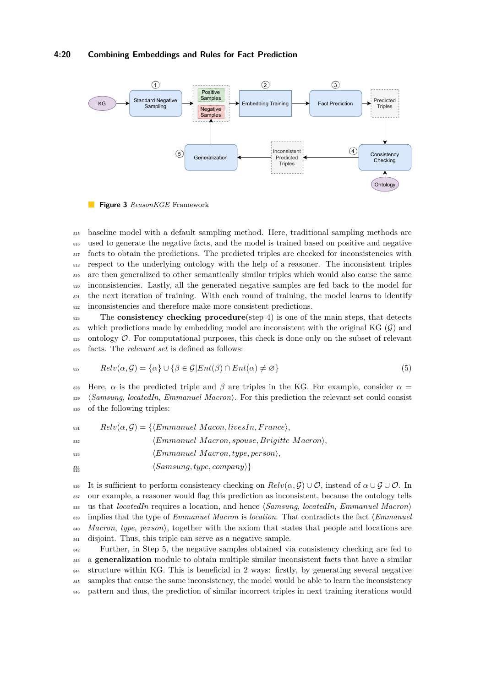### **4:20 Combining Embeddings and Rules for Fact Prediction**

<span id="page-19-0"></span>

**Figure 3** *ReasonKGE* Framework

 baseline model with a default sampling method. Here, traditional sampling methods are used to generate the negative facts, and the model is trained based on positive and negative 817 facts to obtain the predictions. The predicted triples are checked for inconsistencies with respect to the underlying ontology with the help of a reasoner. The inconsistent triples are then generalized to other semantically similar triples which would also cause the same inconsistencies. Lastly, all the generated negative samples are fed back to the model for <sup>821</sup> the next iteration of training. With each round of training, the model learns to identify inconsistencies and therefore make more consistent predictions.

<sup>823</sup> The **consistency checking procedure**(step 4) is one of the main steps, that detects  $_{824}$  which predictions made by embedding model are inconsistent with the original KG (G) and  $\frac{1}{825}$  ontology  $\mathcal{O}$ . For computational purposes, this check is done only on the subset of relevant <sup>826</sup> facts. The *relevant set* is defined as follows:

$$
Relv(\alpha, \mathcal{G}) = {\alpha} \cup {\beta \in \mathcal{G} | Ent(\beta) \cap Ent(\alpha) \neq \varnothing}
$$
\n
$$
(5)
$$

828 Here, *α* is the predicted triple and *β* are triples in the KG. For example, consider  $α =$ <sup>829</sup> h*Samsung*, *locatedIn*, *Emmanuel Macron*i. For this prediction the relevant set could consist <sup>830</sup> of the following triples:

 $B_{831}$   $Relv(\alpha, \mathcal{G}) = \{ \langle Emmanuel\ Macon, livesIn, France \rangle, \}$ 

<sup>832</sup> *(Emmanuel Macron, spouse, Brigitte Macron*)*,* 

- <sup>833</sup> h*Emmanuel M acron, type, person*i*,*
- $\langle Samsung, type, company \rangle$ 834

836 It is sufficient to perform consistency checking on  $Relv(\alpha, \mathcal{G}) \cup \mathcal{O}$ , instead of  $\alpha \cup \mathcal{G} \cup \mathcal{O}$ . In <sup>837</sup> our example, a reasoner would flag this prediction as inconsistent, because the ontology tells 838 us that *locatedIn* requires a location, and hence  $\langle Samsung, locatedIn, Emmanuel\ Maron \rangle$ <sup>839</sup> implies that the type of *Emmanuel Macron* is *location*. That contradicts the fact  $\langle Emmanuel$ 840 *Macron*, *type*, *person*, *together* with the axiom that states that people and locations are <sup>841</sup> disjoint. Thus, this triple can serve as a negative sample.

 Further, in Step 5, the negative samples obtained via consistency checking are fed to a **generalization** module to obtain multiple similar inconsistent facts that have a similar structure within KG. This is beneficial in 2 ways: firstly, by generating several negative samples that cause the same inconsistency, the model would be able to learn the inconsistency pattern and thus, the prediction of similar incorrect triples in next training iterations would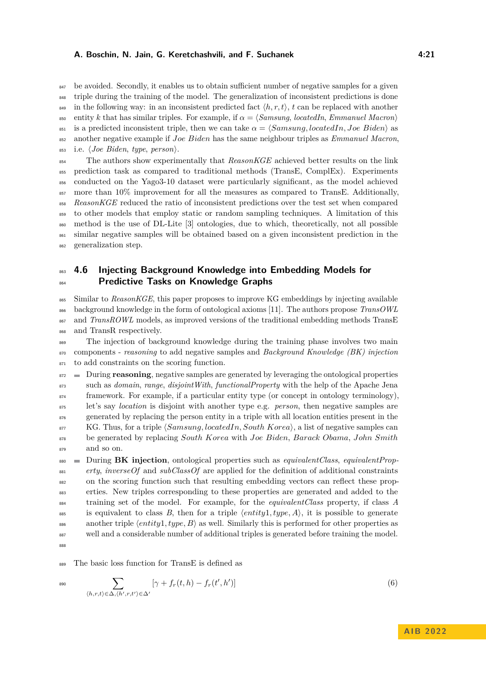<sup>847</sup> be avoided. Secondly, it enables us to obtain sufficient number of negative samples for a given <sup>848</sup> triple during the training of the model. The generalization of inconsistent predictions is done <sup>849</sup> in the following way: in an inconsistent predicted fact  $\langle h, r, t \rangle$ , *t* can be replaced with another 850 entity *k* that has similar triples. For example, if  $\alpha = \langle \textit{Samsung}, \textit{locatedIn}, \textit{Emmanuel Macron} \rangle$ <sup>851</sup> is a predicted inconsistent triple, then we can take  $\alpha = \langle Samsung, locatedIn, Joe Biden \rangle$  as <sup>852</sup> another negative example if *Joe Biden* has the same neighbour triples as *Emmanuel Macron*,  $\delta$ <sub>853</sub> i.e.  $\langle Joe~Biden,~type,~person\rangle$ .

 The authors show experimentally that *ReasonKGE* achieved better results on the link prediction task as compared to traditional methods (TransE, ComplEx). Experiments conducted on the Yago3-10 dataset were particularly significant, as the model achieved  $\frac{857}{100}$  more than 10% improvement for all the measures as compared to TransE. Additionally, *ReasonKGE* reduced the ratio of inconsistent predictions over the test set when compared to other models that employ static or random sampling techniques. A limitation of this method is the use of DL-Lite [\[3\]](#page-26-6) ontologies, due to which, theoretically, not all possible similar negative samples will be obtained based on a given inconsistent prediction in the generalization step.

# <span id="page-20-0"></span><sup>863</sup> **4.6 Injecting Background Knowledge into Embedding Models for** <sup>864</sup> **Predictive Tasks on Knowledge Graphs**

 Similar to *ReasonKGE*, this paper proposes to improve KG embeddings by injecting available background knowledge in the form of ontological axioms [\[11\]](#page-27-20). The authors propose *TransOWL* <sup>867</sup> and *TransROWL* models, as improved versions of the traditional embedding methods TransE and TransR respectively.

<sup>869</sup> The injection of background knowledge during the training phase involves two main <sup>870</sup> components - *reasoning* to add negative samples and *Background Knowledge (BK) injection* <sup>871</sup> to add constraints on the scoring function.

872 During **reasoning**, negative samples are generated by leveraging the ontological properties such as *domain*, *range*, *disjointWith*, *functionalProperty* with the help of the Apache Jena  $\frac{874}{100}$  framework. For example, if a particular entity type (or concept in ontology terminology), let's say *location* is disjoint with another type e.g. *person*, then negative samples are generated by replacing the person entity in a triple with all location entities present in the  $\text{KG. Thus, for a triple } \langle \text{Samsung}, \text{locatedIn}, \text{South Korea} \rangle$ , a list of negative samples can be generated by replacing *South Korea* with *Joe Biden*, *Barack Obama*, *John Smith* and so on.

 During **BK injection**, ontological properties such as *equivalentClass*, *equivalentProp- erty*, *inverseOf* and *subClassOf* are applied for the definition of additional constraints on the scoring function such that resulting embedding vectors can reflect these prop- erties. New triples corresponding to these properties are generated and added to the training set of the model. For example, for the *equivalentClass* property, if class *A* 885 is equivalent to class *B*, then for a triple  $\langle entity1, type, A \rangle$ , it is possible to generate another triple  $\langle entity1, type, B \rangle$  as well. Similarly this is performed for other properties as well and a considerable number of additional triples is generated before training the model. 888

<sup>889</sup> The basic loss function for TransE is defined as

$$
\sum_{\langle h,r,t\rangle \in \Delta, \langle h',r,t'\rangle \in \Delta'} [\gamma + f_r(t,h) - f_r(t',h')] \tag{6}
$$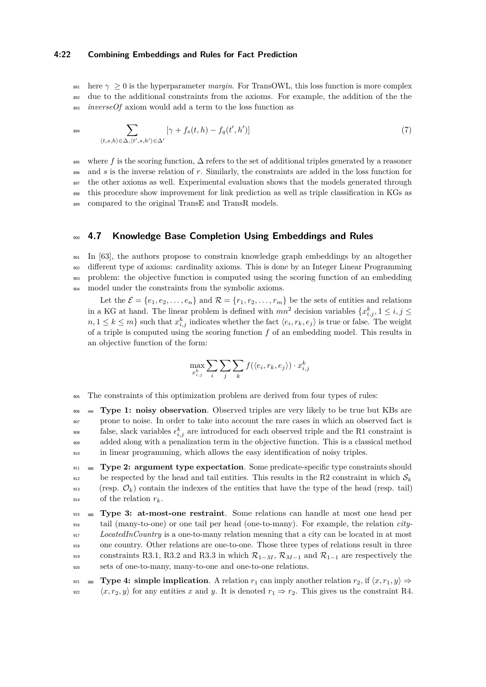### **4:22 Combining Embeddings and Rules for Fact Prediction**

 $\frac{1}{891}$  here  $\gamma > 0$  is the hyperparameter *margin*. For TransOWL, this loss function is more complex <sup>892</sup> due to the additional constraints from the axioms. For example, the addition of the the <sup>893</sup> *inverseOf* axiom would add a term to the loss function as

$$
\sum_{(t,s,h)\in\Delta,\langle t',s,h'\rangle\in\Delta'}\left[\gamma+f_s(t,h)-f_q(t',h')\right]
$$
\n
$$
(7)
$$

<sup>895</sup> where *f* is the scoring function, ∆ refers to the set of additional triples generated by a reasoner <sup>896</sup> and *s* is the inverse relation of *r*. Similarly, the constraints are added in the loss function for <sup>897</sup> the other axioms as well. Experimental evaluation shows that the models generated through <sup>898</sup> this procedure show improvement for link prediction as well as triple classification in KGs as 899 compared to the original TransE and TransR models.

### <span id="page-21-0"></span><sup>900</sup> **4.7 Knowledge Base Completion Using Embeddings and Rules**

 In [\[63\]](#page-29-14), the authors propose to constrain knowledge graph embeddings by an altogether different type of axioms: cardinality axioms. This is done by an Integer Linear Programming problem: the objective function is computed using the scoring function of an embedding model under the constraints from the symbolic axioms.

Let the  $\mathcal{E} = \{e_1, e_2, \dots, e_n\}$  and  $\mathcal{R} = \{r_1, r_2, \dots, r_m\}$  be the sets of entities and relations in a KG at hand. The linear problem is defined with  $mn^2$  decision variables  $\{x_{i,j}^k, 1 \le i, j \le n\}$  $n, 1 \leq k \leq m$  such that  $x_{i,j}^k$  indicates whether the fact  $\langle e_i, r_k, e_j \rangle$  is true or false. The weight of a triple is computed using the scoring function *f* of an embedding model. This results in an objective function of the form:

$$
\max_{x_{i,j}^k} \sum_i \sum_j \sum_k f(\langle e_i, r_k, e_j \rangle) \cdot x_{i,j}^k
$$

<sup>905</sup> The constraints of this optimization problem are derived from four types of rules:

 **Type 1: noisy observation**. Observed triples are very likely to be true but KBs are prone to noise. In order to take into account the rare cases in which an observed fact is <sup>908</sup> false, slack variables  $\epsilon_{i,j}^k$  are introduced for each observed triple and the R1 constraint is added along with a penalization term in the objective function. This is a classical method in linear programming, which allows the easy identification of noisy triples.

<sup>911</sup> **Type 2: argument type expectation**. Some predicate-specific type constraints should  $\mathcal{S}_{12}$  be respected by the head and tail entities. This results in the R2 constraint in which  $\mathcal{S}_k$  $(resp. \mathcal{O}_k)$  contain the indexes of the entities that have the type of the head (resp. tail) 914 of the relation  $r_k$ .

 **Type 3: at-most-one restraint**. Some relations can handle at most one head per tail (many-to-one) or one tail per head (one-to-many). For example, the relation *city- LocatedInCountry* is a one-to-many relation meaning that a city can be located in at most one country. Other relations are one-to-one. Those three types of relations result in three constraints R3.1, R3.2 and R3.3 in which  $\mathcal{R}_{1-M}$ ,  $\mathcal{R}_{M-1}$  and  $\mathcal{R}_{1-1}$  are respectively the sets of one-to-many, many-to-one and one-to-one relations.

921 **■ Type 4: simple implication**. A relation  $r_1$  can imply another relation  $r_2$ , if  $\langle x, r_1, y \rangle \Rightarrow$  $\langle x, r_2, y \rangle$  for any entities *x* and *y*. It is denoted  $r_1 \Rightarrow r_2$ . This gives us the constraint R4.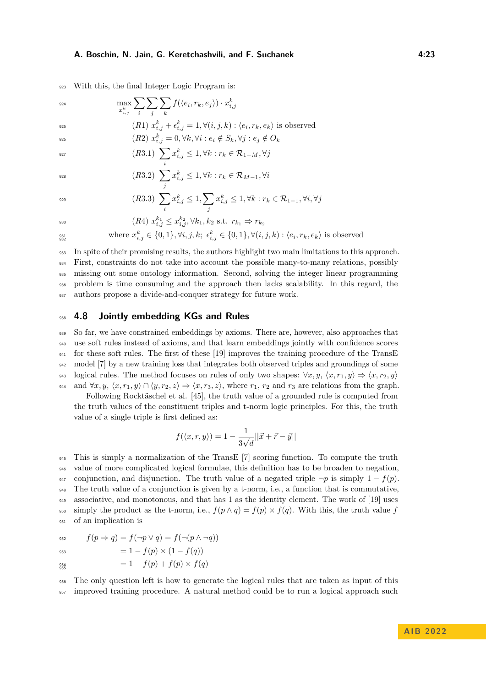<sup>923</sup> With this, the final Integer Logic Program is:

 $\sum$ 

 $\max_{x_{i,j}^k}$  $\sum$ 

 $\max_{k} \sum \sum f(\langle e_i, r_k, e_j \rangle) \cdot x_{i,j}^k$ 

$$
\begin{array}{ccccc}\n\cdots & \cdots & \cdots \\
\cdots & \cdots & \cdots \\
\cdots & \cdots & \cdots \\
\cdots & \cdots & \cdots \\
\cdots & \cdots & \cdots \\
\cdots & \cdots & \cdots \\
\cdots & \cdots & \cdots \\
\cdots & \cdots & \cdots \\
\cdots & \cdots & \cdots \\
\cdots & \cdots & \cdots \\
\cdots & \cdots & \cdots \\
\cdots & \cdots & \cdots \\
\cdots & \cdots & \cdots \\
\cdots & \cdots & \cdots \\
\cdots & \cdots & \cdots \\
\cdots & \cdots & \cdots \\
\cdots & \cdots & \cdots \\
\cdots & \cdots & \cdots \\
\cdots & \cdots & \cdots \\
\cdots & \cdots & \cdots \\
\cdots & \cdots & \cdots \\
\cdots & \cdots & \cdots \\
\cdots & \cdots & \cdots \\
\cdots & \cdots & \cdots \\
\cdots & \cdots & \cdots \\
\cdots & \cdots & \cdots \\
\cdots & \cdots & \cdots \\
\cdots & \cdots & \cdots \\
\cdots & \cdots & \cdots \\
\cdots & \cdots & \cdots \\
\cdots & \cdots & \cdots \\
\cdots & \cdots & \cdots \\
\cdots & \cdots & \cdots \\
\cdots & \cdots & \cdots \\
\cdots & \cdots & \cdots \\
\cdots & \cdots & \cdots \\
\cdots & \cdots & \cdots \\
\cdots & \cdots & \cdots \\
\cdots & \cdots & \cdots \\
\cdots & \cdots & \cdots \\
\cdots & \cdots & \cdots \\
\cdots & \cdots & \cdots \\
\cdots & \cdots & \cdots \\
\cdots & \cdots & \cdots \\
\cdots & \cdots & \cdots \\
\cdots & \cdots & \cdots \\
\cdots & \cdots & \cdots \\
\cdots & \cdots & \cdots \\
\cdots & \cdots & \cdots \\
\cdots & \cdots & \cdots \\
\cdots & \cdots & \cdots \\
\cdots & \cdots & \cdots \\
\cdots & \cdots & \cdots \\
\cdots & \cdots & \cdots \\
\cdots & \cdots & \cdots \\
\cdots & \cdots & \cdots \\
\cdots & \cdots & \cdots \\
\cdots & \cdots & \cdots \\
\cdots & \cdots & \cdots \\
\cdots & \cdots & \cdots \\
\cdots & \cdots & \cdots \\
\cdots & \cdots & \cdots \\
\cdots & \cdots
$$

 $f(x2)$   $x_{i,j}^k = 0, \forall k, \forall i : e_i \notin S_k, \forall j : e_j \notin O_k$ 

930

$$
(R3.1)\;\sum_i x_{i,j}^k \leq 1, \forall k: r_k \in \mathcal{R}_{1-M}, \forall j
$$

 $\sum$ 

$$
(R3.2) \sum_{j} x_{i,j}^{k} \le 1, \forall k : r_k \in \mathcal{R}_{M-1}, \forall i
$$

$$
(R3.3)\ \sum_{i} x_{i,j}^k \le 1, \sum_{j} x_{i,j}^k \le 1, \forall k : r_k \in \mathcal{R}_{1-1}, \forall i, \forall j
$$

$$
(R4) \; x_{i,j}^{k_1} \leq x_{i,j}^{k_2}, \forall k_1, k_2 \text{ s.t. } r_{k_1} \Rightarrow r_{k_2}
$$

where 
$$
x_{i,j}^k \in \{0,1\}, \forall i, j, k; \epsilon_{i,j}^k \in \{0,1\}, \forall (i, j, k) : \langle e_i, r_k, e_k \rangle
$$
 is observed

 In spite of their promising results, the authors highlight two main limitations to this approach. First, constraints do not take into account the possible many-to-many relations, possibly missing out some ontology information. Second, solving the integer linear programming problem is time consuming and the approach then lacks scalability. In this regard, the authors propose a divide-and-conquer strategy for future work.

### <span id="page-22-0"></span><sup>938</sup> **4.8 Jointly embedding KGs and Rules**

 So far, we have constrained embeddings by axioms. There are, however, also approaches that use soft rules instead of axioms, and that learn embeddings jointly with confidence scores for these soft rules. The first of these [\[19\]](#page-27-21) improves the training procedure of the TransE model [\[7\]](#page-26-2) by a new training loss that integrates both observed triples and groundings of some 943 logical rules. The method focuses on rules of only two shapes:  $\forall x, y, \langle x, r_1, y \rangle \Rightarrow \langle x, r_2, y \rangle$ 944 and  $\forall x, y, \langle x, r_1, y \rangle \cap \langle y, r_2, z \rangle \Rightarrow \langle x, r_3, z \rangle$ , where  $r_1, r_2$  and  $r_3$  are relations from the graph.

Following Rocktäschel et al. [\[45\]](#page-28-22), the truth value of a grounded rule is computed from the truth values of the constituent triples and t-norm logic principles. For this, the truth value of a single triple is first defined as:

$$
f(\langle x, r, y \rangle) = 1 - \frac{1}{3\sqrt{d}} ||\vec{x} + \vec{r} - \vec{y}||
$$

 This is simply a normalization of the TransE [\[7\]](#page-26-2) scoring function. To compute the truth value of more complicated logical formulae, this definition has to be broaden to negation, 947 conjunction, and disjunction. The truth value of a negated triple  $\neg p$  is simply  $1 - f(p)$ . The truth value of a conjunction is given by a t-norm, i.e., a function that is commutative, associative, and monotonous, and that has 1 as the identity element. The work of [\[19\]](#page-27-21) uses 950 simply the product as the t-norm, i.e.,  $f(p \wedge q) = f(p) \times f(q)$ . With this, the truth value *f* of an implication is

$$
f(p \Rightarrow q) = f(\neg p \lor q) = f(\neg (p \land \neg q))
$$

$$
= 1 - f(p) \times (1 - f(q))
$$
  
= 1 - f(p) + f(p) \times f(q)

$$
\substack{954 \\ 955}
$$

<sup>956</sup> The only question left is how to generate the logical rules that are taken as input of this <sup>957</sup> improved training procedure. A natural method could be to run a logical approach such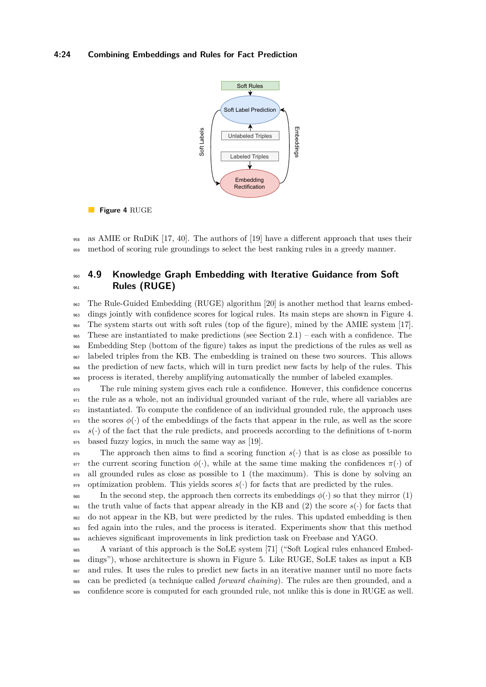### <span id="page-23-1"></span>**4:24 Combining Embeddings and Rules for Fact Prediction**





<sup>958</sup> as AMIE or RuDiK [\[17,](#page-27-2) [40\]](#page-28-2). The authors of [\[19\]](#page-27-21) have a different approach that uses their <sup>959</sup> method of scoring rule groundings to select the best ranking rules in a greedy manner.

# <span id="page-23-0"></span><sup>960</sup> **4.9 Knowledge Graph Embedding with Iterative Guidance from Soft** <sup>961</sup> **Rules (RUGE)**

 The Rule-Guided Embedding (RUGE) algorithm [\[20\]](#page-27-22) is another method that learns embed- dings jointly with confidence scores for logical rules. Its main steps are shown in Figure [4.](#page-23-1) The system starts out with soft rules (top of the figure), mined by the AMIE system [\[17\]](#page-27-2). 965 These are instantiated to make predictions (see Section  $2.1$ ) – each with a confidence. The Embedding Step (bottom of the figure) takes as input the predictions of the rules as well as labeled triples from the KB. The embedding is trained on these two sources. This allows the prediction of new facts, which will in turn predict new facts by help of the rules. This process is iterated, thereby amplifying automatically the number of labeled examples.

 The rule mining system gives each rule a confidence. However, this confidence concerns the rule as a whole, not an individual grounded variant of the rule, where all variables are instantiated. To compute the confidence of an individual grounded rule, the approach uses <sup>973</sup> the scores  $\phi(\cdot)$  of the embeddings of the facts that appear in the rule, as well as the score  $974 \text{ s}(\cdot)$  of the fact that the rule predicts, and proceeds according to the definitions of t-norm based fuzzy logics, in much the same way as [\[19\]](#page-27-21).

<sup>976</sup> The approach then aims to find a scoring function  $s(\cdot)$  that is as close as possible to <sup>977</sup> the current scoring function  $\phi(\cdot)$ , while at the same time making the confidences  $\pi(\cdot)$  of <sup>978</sup> all grounded rules as close as possible to 1 (the maximum). This is done by solving an 979 optimization problem. This yields scores  $s(\cdot)$  for facts that are predicted by the rules.

980 In the second step, the approach then corrects its embeddings  $\phi(\cdot)$  so that they mirror (1) <sup>981</sup> the truth value of facts that appear already in the KB and (2) the score  $s(\cdot)$  for facts that <sup>982</sup> do not appear in the KB, but were predicted by the rules. This updated embedding is then <sup>983</sup> fed again into the rules, and the process is iterated. Experiments show that this method <sup>984</sup> achieves significant improvements in link prediction task on Freebase and YAGO.

 A variant of this approach is the SoLE system [\[71\]](#page-29-15) ("Soft Logical rules enhanced Embed- dings"), whose architecture is shown in Figure [5.](#page-24-1) Like RUGE, SoLE takes as input a KB and rules. It uses the rules to predict new facts in an iterative manner until no more facts can be predicted (a technique called *forward chaining*). The rules are then grounded, and a confidence score is computed for each grounded rule, not unlike this is done in RUGE as well.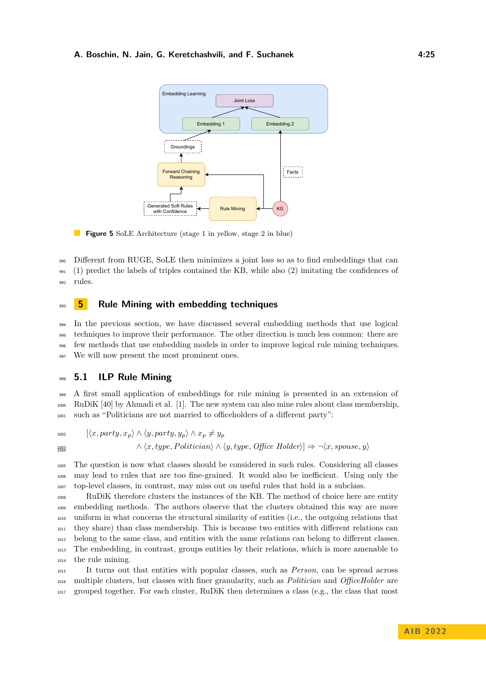<span id="page-24-1"></span>

**Figure 5** SoLE Architecture (stage 1 in yellow, stage 2 in blue)

<sup>990</sup> Different from RUGE, SoLE then minimizes a joint loss so as to find embeddings that can <sup>991</sup> (1) predict the labels of triples contained the KB, while also (2) imitating the confidences of <sup>992</sup> rules.

# <span id="page-24-0"></span><sup>993</sup> **5 Rule Mining with embedding techniques**

 In the previous section, we have discussed several embedding methods that use logical techniques to improve their performance. The other direction is much less common: there are few methods that use embedding models in order to improve logical rule mining techniques. 997 We will now present the most prominent ones.

### <sup>998</sup> **5.1 ILP Rule Mining**

<sup>999</sup> A first small application of embeddings for rule mining is presented in an extension of <sup>1000</sup> RuDiK [\[40\]](#page-28-2) by Ahmadi et al. [\[1\]](#page-26-7). The new system can also mine rules about class membership, <sup>1001</sup> such as "Politicians are not married to officeholders of a different party":

 $\langle x, party, x_n \rangle \wedge \langle y, party, y_n \rangle \wedge x_n \neq y_n$  $\land \langle x, type, Politician \rangle \land \langle y, type, OfficeلIolder \rangle \Rightarrow \neg \langle x, suppose, y \rangle$ 1003<br>1004

<sup>1005</sup> The question is now what classes should be considered in such rules. Considering all classes <sup>1006</sup> may lead to rules that are too fine-grained. It would also be inefficient. Using only the <sup>1007</sup> top-level classes, in contrast, may miss out on useful rules that hold in a subclass.

 RuDiK therefore clusters the instances of the KB. The method of choice here are entity embedding methods. The authors observe that the clusters obtained this way are more uniform in what concerns the structural similarity of entities (i.e., the outgoing relations that they share) than class membership. This is because two entities with different relations can belong to the same class, and entities with the same relations can belong to different classes. The embedding, in contrast, groups entities by their relations, which is more amenable to the rule mining.

<sup>1015</sup> It turns out that entities with popular classes, such as *Person*, can be spread across <sup>1016</sup> multiple clusters, but classes with finer granularity, such as *Politician* and *OfficeHolder* are <sup>1017</sup> grouped together. For each cluster, RuDiK then determines a class (e.g., the class that most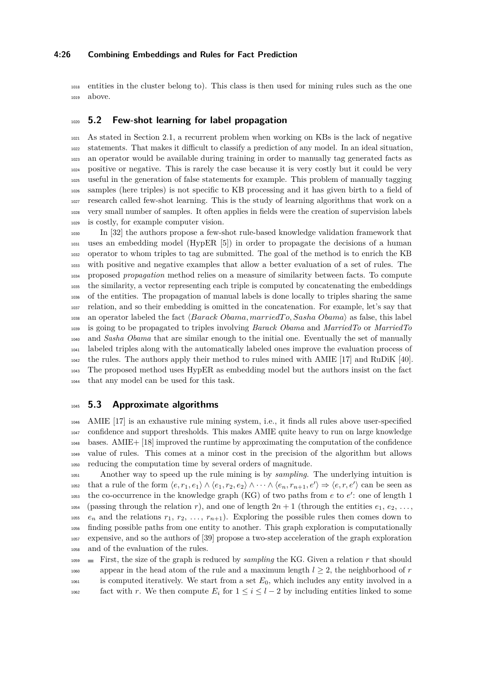### **4:26 Combining Embeddings and Rules for Fact Prediction**

 entities in the cluster belong to). This class is then used for mining rules such as the one above.

### **5.2 Few-shot learning for label propagation**

 As stated in Section [2.1,](#page-2-2) a recurrent problem when working on KBs is the lack of negative statements. That makes it difficult to classify a prediction of any model. In an ideal situation, an operator would be available during training in order to manually tag generated facts as positive or negative. This is rarely the case because it is very costly but it could be very useful in the generation of false statements for example. This problem of manually tagging samples (here triples) is not specific to KB processing and it has given birth to a field of research called few-shot learning. This is the study of learning algorithms that work on a very small number of samples. It often applies in fields were the creation of supervision labels is costly, for example computer vision.

 In [\[32\]](#page-27-24) the authors propose a few-shot rule-based knowledge validation framework that uses an embedding model (HypER [\[5\]](#page-26-8)) in order to propagate the decisions of a human operator to whom triples to tag are submitted. The goal of the method is to enrich the KB with positive and negative examples that allow a better evaluation of a set of rules. The proposed *propagation* method relies on a measure of similarity between facts. To compute the similarity, a vector representing each triple is computed by concatenating the embeddings of the entities. The propagation of manual labels is done locally to triples sharing the same relation, and so their embedding is omitted in the concatenation. For example, let's say that <sup>1038</sup> an operator labeled the fact  $\langle Barack\,Obama, marriedTo, Sasha\,Obama\rangle$  as false, this label is going to be propagated to triples involving *Barack Obama* and *MarriedTo* or *MarriedTo* and *Sasha Obama* that are similar enough to the initial one. Eventually the set of manually labeled triples along with the automatically labeled ones improve the evaluation process of the rules. The authors apply their method to rules mined with AMIE [\[17\]](#page-27-2) and RuDiK [\[40\]](#page-28-2). The proposed method uses HypER as embedding model but the authors insist on the fact that any model can be used for this task.

### **5.3 Approximate algorithms**

 AMIE [\[17\]](#page-27-2) is an exhaustive rule mining system, i.e., it finds all rules above user-specified confidence and support thresholds. This makes AMIE quite heavy to run on large knowledge bases. AMIE+ [\[18\]](#page-27-3) improved the runtime by approximating the computation of the confidence value of rules. This comes at a minor cost in the precision of the algorithm but allows reducing the computation time by several orders of magnitude.

 Another way to speed up the rule mining is by *sampling*. The underlying intuition is that a rule of the form  $\langle e, r_1, e_1 \rangle \wedge \langle e_1, r_2, e_2 \rangle \wedge \cdots \wedge \langle e_n, r_{n+1}, e' \rangle \Rightarrow \langle e, r, e' \rangle$  can be seen as 1053 the co-occurrence in the knowledge graph (KG) of two paths from *e* to *e'*: one of length 1 1054 (passing through the relation *r*), and one of length  $2n + 1$  (through the entities  $e_1, e_2, \ldots$ , <sup>1055</sup>  $e_n$  and the relations  $r_1, r_2, \ldots, r_{n+1}$ . Exploring the possible rules then comes down to finding possible paths from one entity to another. This graph exploration is computationally expensive, and so the authors of [\[39\]](#page-28-23) propose a two-step acceleration of the graph exploration and of the evaluation of the rules.

 $F_{1059}$   $\equiv$  First, the size of the graph is reduced by *sampling* the KG. Given a relation *r* that should 1060 appear in the head atom of the rule and a maximum length  $l \geq 2$ , the neighborhood of *r*  is computed iteratively. We start from a set *E*0, which includes any entity involved in a 1062 fact with *r*. We then compute  $E_i$  for  $1 \leq i \leq l-2$  by including entities linked to some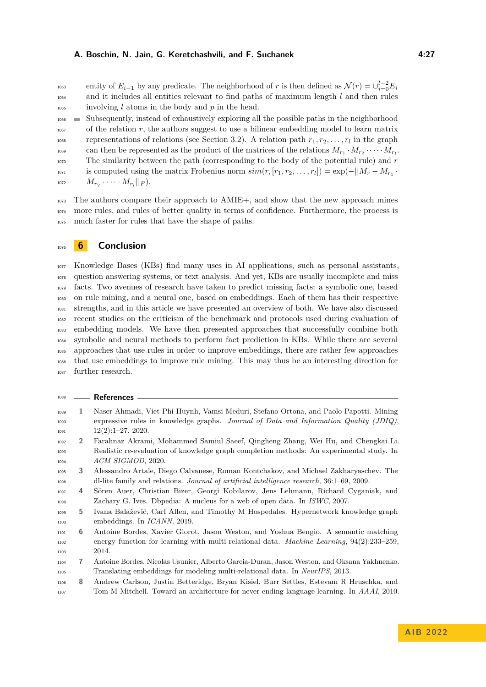entity of  $E_{i-1}$  by any predicate. The neighborhood of *r* is then defined as  $\mathcal{N}(r) = \bigcup_{i=0}^{l-2} E_i$  and it includes all entities relevant to find paths of maximum length *l* and then rules involving *l* atoms in the body and *p* in the head.

 $_{1066}$   $\blacksquare$  Subsequently, instead of exhaustively exploring all the possible paths in the neighborhood <sup>1067</sup> of the relation *r*, the authors suggest to use a bilinear embedding model to learn matrix representations of relations (see Section [3.2\)](#page-9-0). A relation path  $r_1, r_2, \ldots, r_l$  in the graph <sup>1069</sup> can then be represented as the product of the matrices of the relations  $M_{r_1} \cdot M_{r_2} \cdot \cdots \cdot M_{r_l}$ . The similarity between the path (corresponding to the body of the potential rule) and *r* is computed using the matrix Frobenius norm  $sim(r, [r_1, r_2, \ldots, r_l]) = \exp(-||M_r - M_{r_1} \cdot$  $M_{r_2} \cdot \dots \cdot M_{r_l} ||_F$ ).

 The authors compare their approach to AMIE+, and show that the new approach mines more rules, and rules of better quality in terms of confidence. Furthermore, the process is much faster for rules that have the shape of paths.

### <span id="page-26-1"></span>**6 Conclusion**

 Knowledge Bases (KBs) find many uses in AI applications, such as personal assistants, question answering systems, or text analysis. And yet, KBs are usually incomplete and miss facts. Two avenues of research have taken to predict missing facts: a symbolic one, based on rule mining, and a neural one, based on embeddings. Each of them has their respective strengths, and in this article we have presented an overview of both. We have also discussed recent studies on the criticism of the benchmark and protocols used during evaluation of embedding models. We have then presented approaches that successfully combine both symbolic and neural methods to perform fact prediction in KBs. While there are several approaches that use rules in order to improve embeddings, there are rather few approaches that use embeddings to improve rule mining. This may thus be an interesting direction for further research.

<span id="page-26-8"></span><span id="page-26-7"></span><span id="page-26-6"></span><span id="page-26-5"></span><span id="page-26-4"></span><span id="page-26-3"></span><span id="page-26-2"></span><span id="page-26-0"></span>

| 1088 |    | <b>References</b>                                                                                 |
|------|----|---------------------------------------------------------------------------------------------------|
| 1089 | ı  | Naser Ahmadi, Viet-Phi Huynh, Vamsi Meduri, Stefano Ortona, and Paolo Papotti. Mining             |
| 1090 |    | expressive rules in knowledge graphs. Journal of Data and Information Quality $(JDIQ)$ ,          |
| 1091 |    | $12(2):1-27, 2020.$                                                                               |
| 1092 | 2  | Farahnaz Akrami, Mohammed Samiul Saeef, Qingheng Zhang, Wei Hu, and Chengkai Li.                  |
| 1093 |    | Realistic re-evaluation of knowledge graph completion methods: An experimental study. In          |
| 1094 |    | ACM SIGMOD, 2020.                                                                                 |
| 1095 | 3  | Alessandro Artale, Diego Calvanese, Roman Kontchakov, and Michael Zakharyaschev. The              |
| 1096 |    | dl-lite family and relations. <i>Journal of artificial intelligence research</i> , 36:1–69, 2009. |
| 1097 | 4  | Sören Auer, Christian Bizer, Georgi Kobilarov, Jens Lehmann, Richard Cyganiak, and                |
| 1098 |    | Zachary G. Ives. Dbpedia: A nucleus for a web of open data. In ISWC, 2007.                        |
| 1099 | 5. | Ivana Balažević, Carl Allen, and Timothy M Hospedales. Hypernetwork knowledge graph               |
| 1100 |    | embeddings. In <i>ICANN</i> , 2019.                                                               |
| 1101 | 6  | Antoine Bordes, Xavier Glorot, Jason Weston, and Yoshua Bengio. A semantic matching               |
| 1102 |    | energy function for learning with multi-relational data. Machine Learning, $94(2):233-259$ ,      |
| 1103 |    | 2014.                                                                                             |
| 1104 | 7  | Antoine Bordes, Nicolas Usunier, Alberto Garcia-Duran, Jason Weston, and Oksana Yakhnenko.        |
| 1105 |    | Translating embeddings for modeling multi-relational data. In NeurIPS, 2013.                      |
| 1106 | 8  | Andrew Carlson, Justin Betteridge, Bryan Kisiel, Burr Settles, Estevam R Hruschka, and            |
| 1107 |    | Tom M Mitchell. Toward an architecture for never-ending language learning. In AAAI, 2010.         |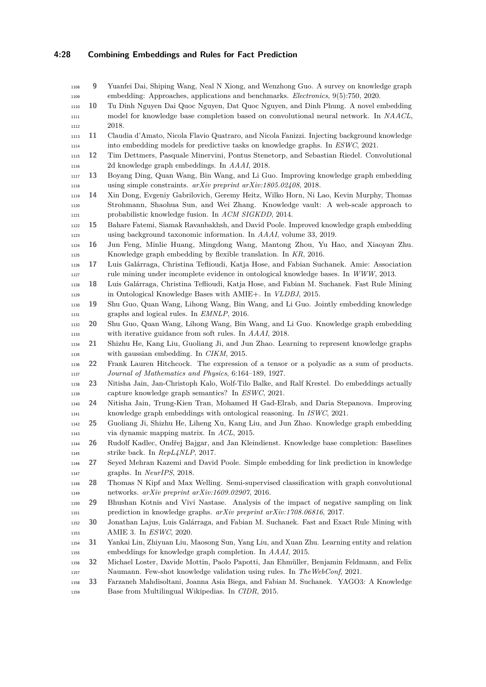### **4:28 Combining Embeddings and Rules for Fact Prediction**

<span id="page-27-22"></span><span id="page-27-21"></span><span id="page-27-20"></span><span id="page-27-19"></span><span id="page-27-18"></span><span id="page-27-12"></span><span id="page-27-11"></span><span id="page-27-10"></span><span id="page-27-6"></span><span id="page-27-3"></span><span id="page-27-2"></span> embedding: Approaches, applications and benchmarks. *Electronics*, 9(5):750, 2020. **10** Tu Dinh Nguyen Dai Quoc Nguyen, Dat Quoc Nguyen, and Dinh Phung. A novel embedding model for knowledge base completion based on convolutional neural network. In *NAACL*, 1112 2018. **11** Claudia d'Amato, Nicola Flavio Quatraro, and Nicola Fanizzi. Injecting background knowledge into embedding models for predictive tasks on knowledge graphs. In *ESWC*, 2021. **12** Tim Dettmers, Pasquale Minervini, Pontus Stenetorp, and Sebastian Riedel. Convolutional 2d knowledge graph embeddings. In *AAAI*, 2018. **13** Boyang Ding, Quan Wang, Bin Wang, and Li Guo. Improving knowledge graph embedding using simple constraints. *arXiv preprint arXiv:1805.02408*, 2018. **14** Xin Dong, Evgeniy Gabrilovich, Geremy Heitz, Wilko Horn, Ni Lao, Kevin Murphy, Thomas Strohmann, Shaohua Sun, and Wei Zhang. Knowledge vault: A web-scale approach to probabilistic knowledge fusion. In *ACM SIGKDD*, 2014. **15** Bahare Fatemi, Siamak Ravanbakhsh, and David Poole. Improved knowledge graph embedding using background taxonomic information. In *AAAI*, volume 33, 2019. **16** Jun Feng, Minlie Huang, Mingdong Wang, Mantong Zhou, Yu Hao, and Xiaoyan Zhu. Knowledge graph embedding by flexible translation. In *KR*, 2016. **17** Luis Galárraga, Christina Teflioudi, Katja Hose, and Fabian Suchanek. Amie: Association rule mining under incomplete evidence in ontological knowledge bases. In *WWW*, 2013. **18** Luis Galárraga, Christina Teflioudi, Katja Hose, and Fabian M. Suchanek. Fast Rule Mining in Ontological Knowledge Bases with AMIE+. In *VLDBJ*, 2015. **19** Shu Guo, Quan Wang, Lihong Wang, Bin Wang, and Li Guo. Jointly embedding knowledge graphs and logical rules. In *EMNLP*, 2016. **20** Shu Guo, Quan Wang, Lihong Wang, Bin Wang, and Li Guo. Knowledge graph embedding with iterative guidance from soft rules. In *AAAI*, 2018. **21** Shizhu He, Kang Liu, Guoliang Ji, and Jun Zhao. Learning to represent knowledge graphs with gaussian embedding. In *CIKM*, 2015. **22** Frank Lauren Hitchcock. The expression of a tensor or a polyadic as a sum of products. *Journal of Mathematics and Physics*, 6:164–189, 1927. **23** Nitisha Jain, Jan-Christoph Kalo, Wolf-Tilo Balke, and Ralf Krestel. Do embeddings actually capture knowledge graph semantics? In *ESWC*, 2021. **24** Nitisha Jain, Trung-Kien Tran, Mohamed H Gad-Elrab, and Daria Stepanova. Improving knowledge graph embeddings with ontological reasoning. In *ISWC*, 2021. **25** Guoliang Ji, Shizhu He, Liheng Xu, Kang Liu, and Jun Zhao. Knowledge graph embedding via dynamic mapping matrix. In *ACL*, 2015. **26** Rudolf Kadlec, Ondřej Bajgar, and Jan Kleindienst. Knowledge base completion: Baselines strike back. In *RepL4NLP*, 2017. **27** Seyed Mehran Kazemi and David Poole. Simple embedding for link prediction in knowledge graphs. In *NeurIPS*, 2018. **28** Thomas N Kipf and Max Welling. Semi-supervised classification with graph convolutional networks. *arXiv preprint arXiv:1609.02907*, 2016. **29** Bhushan Kotnis and Vivi Nastase. Analysis of the impact of negative sampling on link prediction in knowledge graphs. *arXiv preprint arXiv:1708.06816*, 2017. **30** Jonathan Lajus, Luis Galárraga, and Fabian M. Suchanek. Fast and Exact Rule Mining with AMIE 3. In *ESWC*, 2020. **31** Yankai Lin, Zhiyuan Liu, Maosong Sun, Yang Liu, and Xuan Zhu. Learning entity and relation embeddings for knowledge graph completion. In *AAAI*, 2015. **32** Michael Loster, Davide Mottin, Paolo Papotti, Jan Ehmüller, Benjamin Feldmann, and Felix Naumann. Few-shot knowledge validation using rules. In *TheWebConf*, 2021. **33** Farzaneh Mahdisoltani, Joanna Asia Biega, and Fabian M. Suchanek. YAGO3: A Knowledge

<span id="page-27-1"></span>**9** Yuanfei Dai, Shiping Wang, Neal N Xiong, and Wenzhong Guo. A survey on knowledge graph

<span id="page-27-24"></span><span id="page-27-23"></span><span id="page-27-17"></span><span id="page-27-16"></span><span id="page-27-15"></span><span id="page-27-14"></span><span id="page-27-13"></span><span id="page-27-9"></span><span id="page-27-8"></span><span id="page-27-7"></span><span id="page-27-5"></span><span id="page-27-4"></span><span id="page-27-0"></span>Base from Multilingual Wikipedias. In *CIDR*, 2015.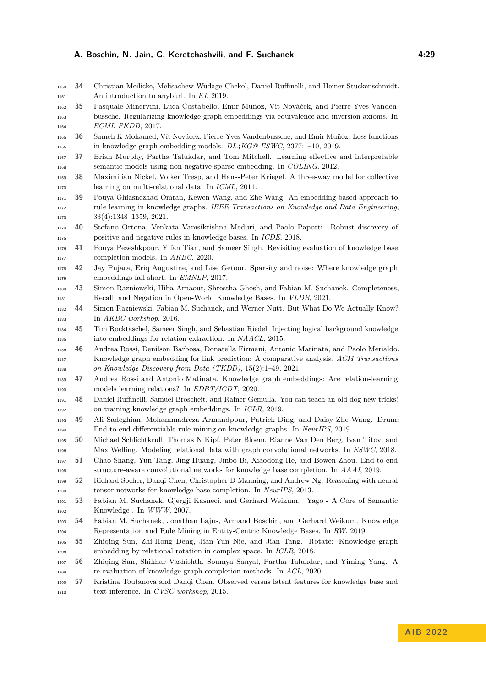- <span id="page-28-1"></span> **34** Christian Meilicke, Melisachew Wudage Chekol, Daniel Ruffinelli, and Heiner Stuckenschmidt. An introduction to anyburl. In *KI*, 2019.
- <span id="page-28-20"></span> **35** Pasquale Minervini, Luca Costabello, Emir Muñoz, Vít Nováček, and Pierre-Yves Vanden- bussche. Regularizing knowledge graph embeddings via equivalence and inversion axioms. In *ECML PKDD*, 2017.
- <span id="page-28-19"></span> **36** Sameh K Mohamed, Vít Novácek, Pierre-Yves Vandenbussche, and Emir Muñoz. Loss functions in knowledge graph embedding models. *DL4KG@ ESWC*, 2377:1–10, 2019.
- <span id="page-28-21"></span> **37** Brian Murphy, Partha Talukdar, and Tom Mitchell. Learning effective and interpretable semantic models using non-negative sparse embedding. In *COLING*, 2012.
- <span id="page-28-9"></span> **38** Maximilian Nickel, Volker Tresp, and Hans-Peter Kriegel. A three-way model for collective learning on multi-relational data. In *ICML*, 2011.
- <span id="page-28-23"></span> **39** Pouya Ghiasnezhad Omran, Kewen Wang, and Zhe Wang. An embedding-based approach to rule learning in knowledge graphs. *IEEE Transactions on Knowledge and Data Engineering*, 1173 33(4):1348–1359, 2021.
- <span id="page-28-2"></span> **40** Stefano Ortona, Venkata Vamsikrishna Meduri, and Paolo Papotti. Robust discovery of positive and negative rules in knowledge bases. In *ICDE*, 2018.
- <span id="page-28-17"></span> **41** Pouya Pezeshkpour, Yifan Tian, and Sameer Singh. Revisiting evaluation of knowledge base completion models. In *AKBC*, 2020.
- <span id="page-28-16"></span> **42** Jay Pujara, Eriq Augustine, and Lise Getoor. Sparsity and noise: Where knowledge graph embeddings fall short. In *EMNLP*, 2017.
- <span id="page-28-6"></span> **43** Simon Razniewski, Hiba Arnaout, Shrestha Ghosh, and Fabian M. Suchanek. Completeness, Recall, and Negation in Open-World Knowledge Bases. In *VLDB*, 2021.
- <span id="page-28-5"></span> **44** Simon Razniewski, Fabian M. Suchanek, and Werner Nutt. But What Do We Actually Know? In *AKBC workshop*, 2016.
- <span id="page-28-22"></span> **45** Tim Rocktäschel, Sameer Singh, and Sebastian Riedel. Injecting logical background knowledge into embeddings for relation extraction. In *NAACL*, 2015.
- <span id="page-28-3"></span> **46** Andrea Rossi, Denilson Barbosa, Donatella Firmani, Antonio Matinata, and Paolo Merialdo. Knowledge graph embedding for link prediction: A comparative analysis. *ACM Transactions on Knowledge Discovery from Data (TKDD)*, 15(2):1–49, 2021.
- <span id="page-28-15"></span> **47** Andrea Rossi and Antonio Matinata. Knowledge graph embeddings: Are relation-learning models learning relations? In *EDBT/ICDT*, 2020.
- <span id="page-28-10"></span> **48** Daniel Ruffinelli, Samuel Broscheit, and Rainer Gemulla. You can teach an old dog new tricks! on training knowledge graph embeddings. In *ICLR*, 2019.
- <span id="page-28-7"></span> **49** Ali Sadeghian, Mohammadreza Armandpour, Patrick Ding, and Daisy Zhe Wang. Drum: End-to-end differentiable rule mining on knowledge graphs. In *NeurIPS*, 2019.
- <span id="page-28-12"></span> **50** Michael Schlichtkrull, Thomas N Kipf, Peter Bloem, Rianne Van Den Berg, Ivan Titov, and Max Welling. Modeling relational data with graph convolutional networks. In *ESWC*, 2018.
- <span id="page-28-13"></span> **51** Chao Shang, Yun Tang, Jing Huang, Jinbo Bi, Xiaodong He, and Bowen Zhou. End-to-end structure-aware convolutional networks for knowledge base completion. In *AAAI*, 2019.
- <span id="page-28-11"></span> **52** Richard Socher, Danqi Chen, Christopher D Manning, and Andrew Ng. Reasoning with neural tensor networks for knowledge base completion. In *NeurIPS*, 2013.
- <span id="page-28-0"></span> **53** Fabian M. Suchanek, Gjergji Kasneci, and Gerhard Weikum. Yago - A Core of Semantic Knowledge . In *WWW*, 2007.
- <span id="page-28-4"></span> **54** Fabian M. Suchanek, Jonathan Lajus, Armand Boschin, and Gerhard Weikum. Knowledge Representation and Rule Mining in Entity-Centric Knowledge Bases. In *RW*, 2019.
- <span id="page-28-8"></span> **55** Zhiqing Sun, Zhi-Hong Deng, Jian-Yun Nie, and Jian Tang. Rotate: Knowledge graph embedding by relational rotation in complex space. In *ICLR*, 2018.
- <span id="page-28-18"></span> **56** Zhiqing Sun, Shikhar Vashishth, Soumya Sanyal, Partha Talukdar, and Yiming Yang. A re-evaluation of knowledge graph completion methods. In *ACL*, 2020.
- <span id="page-28-14"></span> **57** Kristina Toutanova and Danqi Chen. Observed versus latent features for knowledge base and text inference. In *CVSC workshop*, 2015.